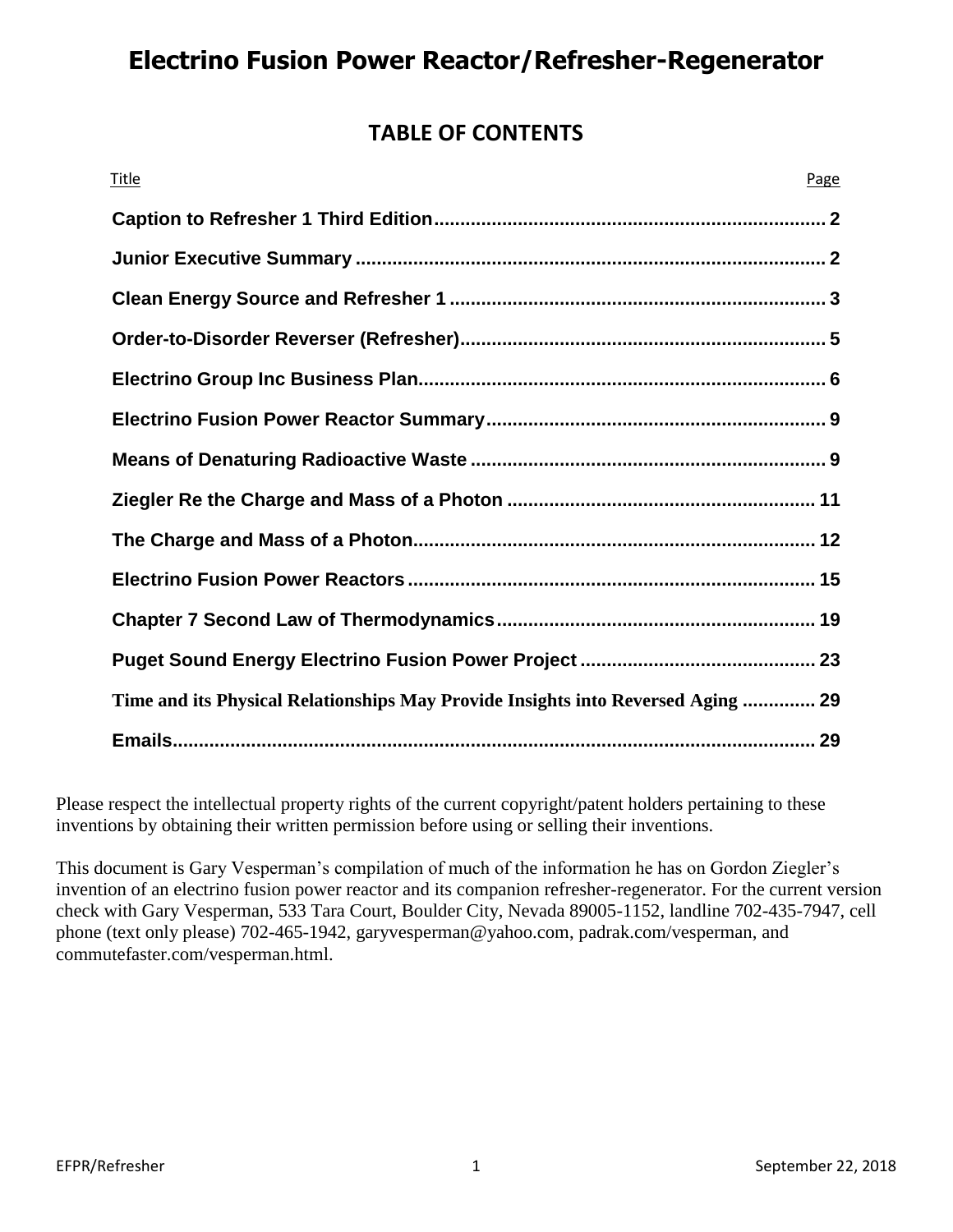# **Electrino Fusion Power Reactor/Refresher-Regenerator**

## **TABLE OF CONTENTS**

| Title<br>Page                                                                    |  |
|----------------------------------------------------------------------------------|--|
|                                                                                  |  |
|                                                                                  |  |
|                                                                                  |  |
|                                                                                  |  |
|                                                                                  |  |
|                                                                                  |  |
|                                                                                  |  |
|                                                                                  |  |
|                                                                                  |  |
|                                                                                  |  |
|                                                                                  |  |
|                                                                                  |  |
| Time and its Physical Relationships May Provide Insights into Reversed Aging  29 |  |
|                                                                                  |  |

Please respect the intellectual property rights of the current copyright/patent holders pertaining to these inventions by obtaining their written permission before using or selling their inventions.

This document is Gary Vesperman's compilation of much of the information he has on Gordon Ziegler's invention of an electrino fusion power reactor and its companion refresher-regenerator. For the current version check with Gary Vesperman, 533 Tara Court, Boulder City, Nevada 89005-1152, landline 702-435-7947, cell phone (text only please) 702-465-1942, garyvesperman@yahoo.com, padrak.com/vesperman, and commutefaster.com/vesperman.html.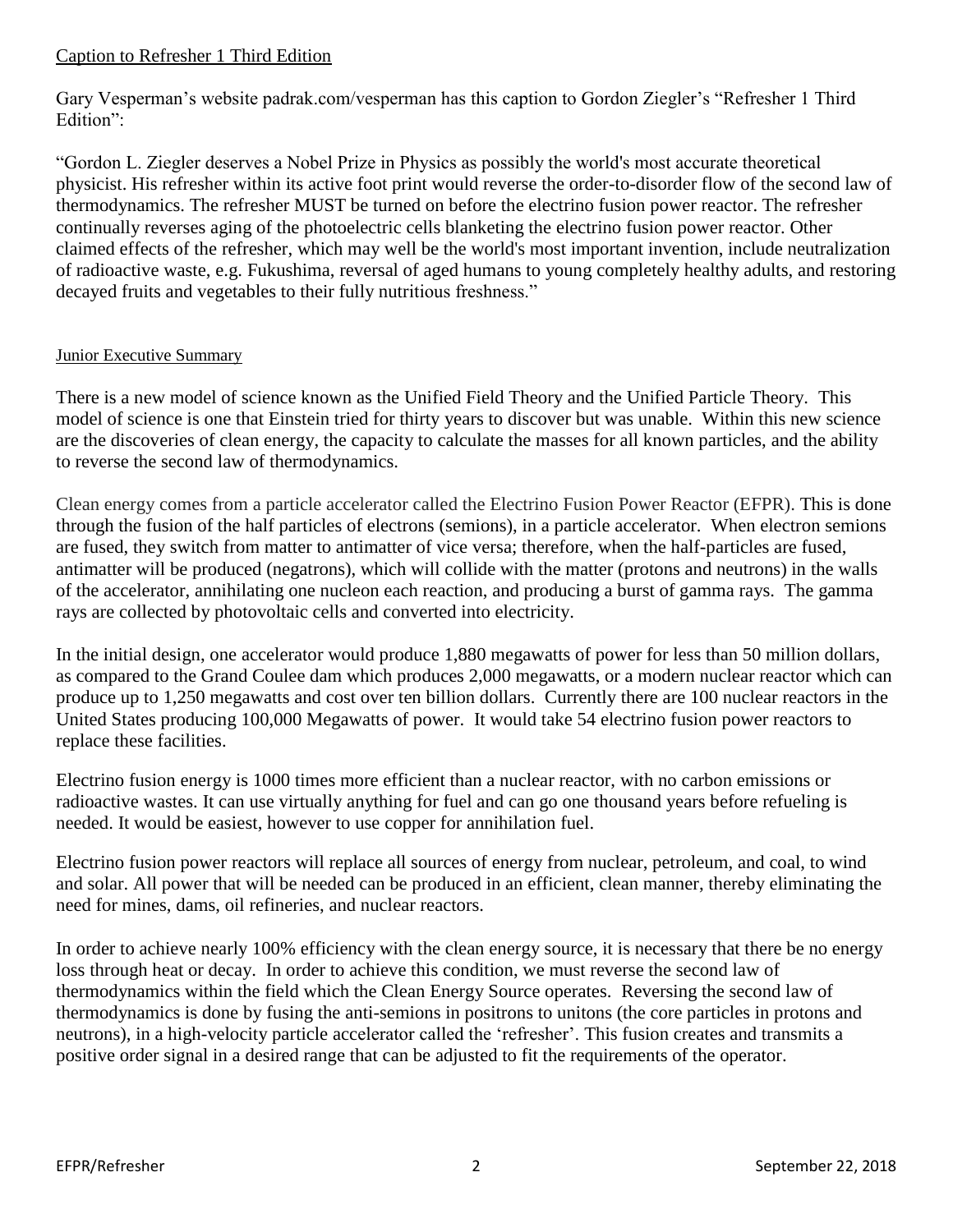## Caption to Refresher 1 Third Edition

Gary Vesperman's website padrak.com/vesperman has this caption to Gordon Ziegler's "Refresher 1 Third Edition":

"Gordon L. Ziegler deserves a Nobel Prize in Physics as possibly the world's most accurate theoretical physicist. His refresher within its active foot print would reverse the order-to-disorder flow of the second law of thermodynamics. The refresher MUST be turned on before the electrino fusion power reactor. The refresher continually reverses aging of the photoelectric cells blanketing the electrino fusion power reactor. Other claimed effects of the refresher, which may well be the world's most important invention, include neutralization of radioactive waste, e.g. Fukushima, reversal of aged humans to young completely healthy adults, and restoring decayed fruits and vegetables to their fully nutritious freshness."

## Junior Executive Summary

There is a new model of science known as the Unified Field Theory and the Unified Particle Theory. This model of science is one that Einstein tried for thirty years to discover but was unable. Within this new science are the discoveries of clean energy, the capacity to calculate the masses for all known particles, and the ability to reverse the second law of thermodynamics.

Clean energy comes from a particle accelerator called the Electrino Fusion Power Reactor (EFPR). This is done through the fusion of the half particles of electrons (semions), in a particle accelerator. When electron semions are fused, they switch from matter to antimatter of vice versa; therefore, when the half-particles are fused, antimatter will be produced (negatrons), which will collide with the matter (protons and neutrons) in the walls of the accelerator, annihilating one nucleon each reaction, and producing a burst of gamma rays. The gamma rays are collected by photovoltaic cells and converted into electricity.

In the initial design, one accelerator would produce 1,880 megawatts of power for less than 50 million dollars, as compared to the Grand Coulee dam which produces 2,000 megawatts, or a modern nuclear reactor which can produce up to 1,250 megawatts and cost over ten billion dollars. Currently there are 100 nuclear reactors in the United States producing 100,000 Megawatts of power. It would take 54 electrino fusion power reactors to replace these facilities.

Electrino fusion energy is 1000 times more efficient than a nuclear reactor, with no carbon emissions or radioactive wastes. It can use virtually anything for fuel and can go one thousand years before refueling is needed. It would be easiest, however to use copper for annihilation fuel.

Electrino fusion power reactors will replace all sources of energy from nuclear, petroleum, and coal, to wind and solar. All power that will be needed can be produced in an efficient, clean manner, thereby eliminating the need for mines, dams, oil refineries, and nuclear reactors.

In order to achieve nearly 100% efficiency with the clean energy source, it is necessary that there be no energy loss through heat or decay. In order to achieve this condition, we must reverse the second law of thermodynamics within the field which the Clean Energy Source operates. Reversing the second law of thermodynamics is done by fusing the anti-semions in positrons to unitons (the core particles in protons and neutrons), in a high-velocity particle accelerator called the 'refresher'. This fusion creates and transmits a positive order signal in a desired range that can be adjusted to fit the requirements of the operator.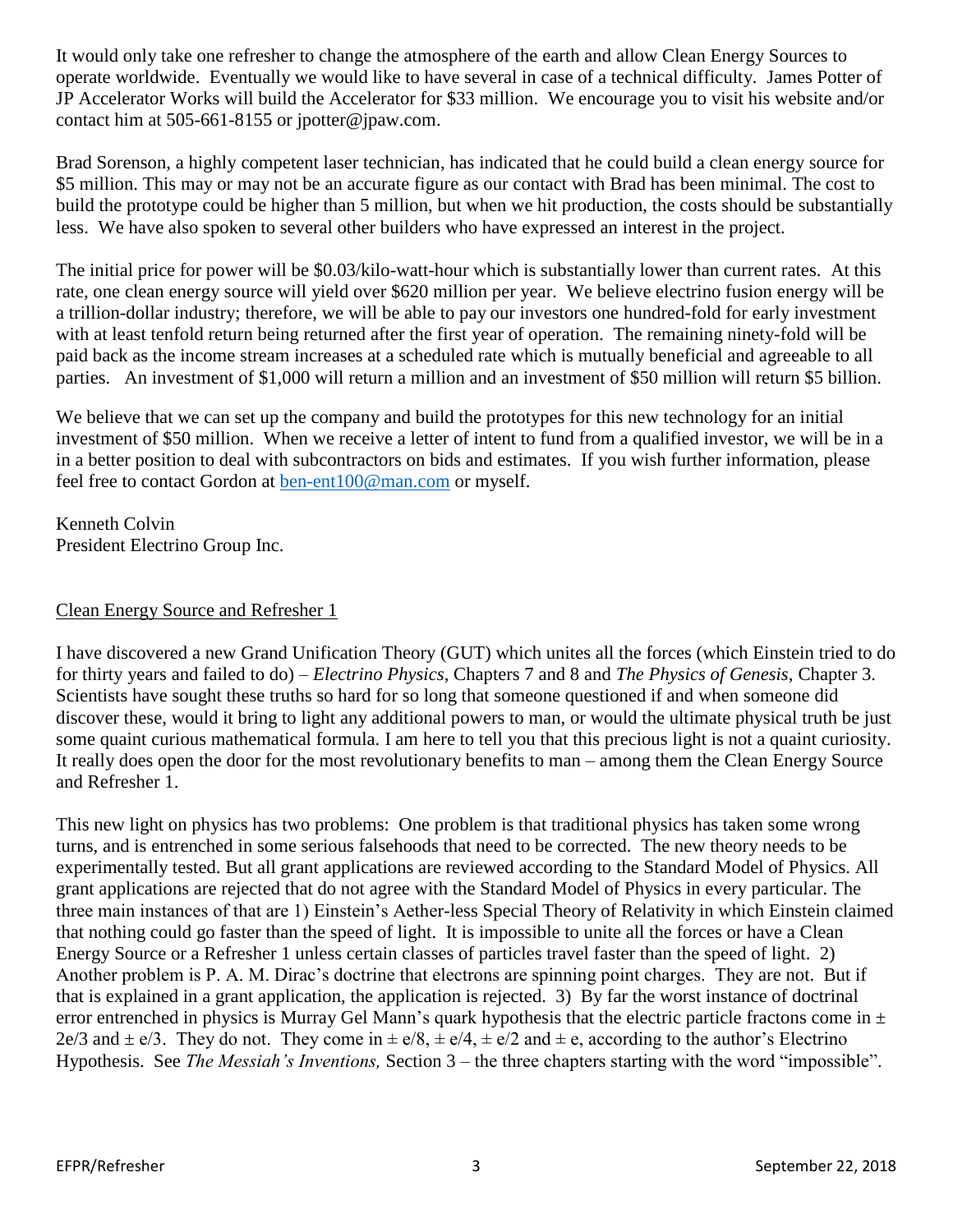It would only take one refresher to change the atmosphere of the earth and allow Clean Energy Sources to operate worldwide. Eventually we would like to have several in case of a technical difficulty. James Potter of JP Accelerator Works will build the Accelerator for \$33 million. We encourage you to visit his website and/or contact him at 505-661-8155 or jpotter@jpaw.com.

Brad Sorenson, a highly competent laser technician, has indicated that he could build a clean energy source for \$5 million. This may or may not be an accurate figure as our contact with Brad has been minimal. The cost to build the prototype could be higher than 5 million, but when we hit production, the costs should be substantially less. We have also spoken to several other builders who have expressed an interest in the project.

The initial price for power will be \$0.03/kilo-watt-hour which is substantially lower than current rates. At this rate, one clean energy source will yield over \$620 million per year. We believe electrino fusion energy will be a trillion-dollar industry; therefore, we will be able to pay our investors one hundred-fold for early investment with at least tenfold return being returned after the first year of operation. The remaining ninety-fold will be paid back as the income stream increases at a scheduled rate which is mutually beneficial and agreeable to all parties. An investment of \$1,000 will return a million and an investment of \$50 million will return \$5 billion.

We believe that we can set up the company and build the prototypes for this new technology for an initial investment of \$50 million. When we receive a letter of intent to fund from a qualified investor, we will be in a in a better position to deal with subcontractors on bids and estimates. If you wish further information, please feel free to contact Gordon at [ben-ent100@man.com](mailto:ben-ent100@man.com) or myself.

Kenneth Colvin President Electrino Group Inc.

#### Clean Energy Source and Refresher 1

I have discovered a new Grand Unification Theory (GUT) which unites all the forces (which Einstein tried to do for thirty years and failed to do) – *Electrino Physics*, Chapters 7 and 8 and *The Physics of Genesis*, Chapter 3. Scientists have sought these truths so hard for so long that someone questioned if and when someone did discover these, would it bring to light any additional powers to man, or would the ultimate physical truth be just some quaint curious mathematical formula. I am here to tell you that this precious light is not a quaint curiosity. It really does open the door for the most revolutionary benefits to man – among them the Clean Energy Source and Refresher 1.

This new light on physics has two problems: One problem is that traditional physics has taken some wrong turns, and is entrenched in some serious falsehoods that need to be corrected. The new theory needs to be experimentally tested. But all grant applications are reviewed according to the Standard Model of Physics. All grant applications are rejected that do not agree with the Standard Model of Physics in every particular. The three main instances of that are 1) Einstein's Aether-less Special Theory of Relativity in which Einstein claimed that nothing could go faster than the speed of light. It is impossible to unite all the forces or have a Clean Energy Source or a Refresher 1 unless certain classes of particles travel faster than the speed of light. 2) Another problem is P. A. M. Dirac's doctrine that electrons are spinning point charges. They are not. But if that is explained in a grant application, the application is rejected. 3) By far the worst instance of doctrinal error entrenched in physics is Murray Gel Mann's quark hypothesis that the electric particle fractons come in  $\pm$ 2e/3 and  $\pm$  e/3. They do not. They come in  $\pm$  e/8,  $\pm$  e/4,  $\pm$  e/2 and  $\pm$  e, according to the author's Electrino Hypothesis. See *The Messiah's Inventions,* Section 3 – the three chapters starting with the word "impossible".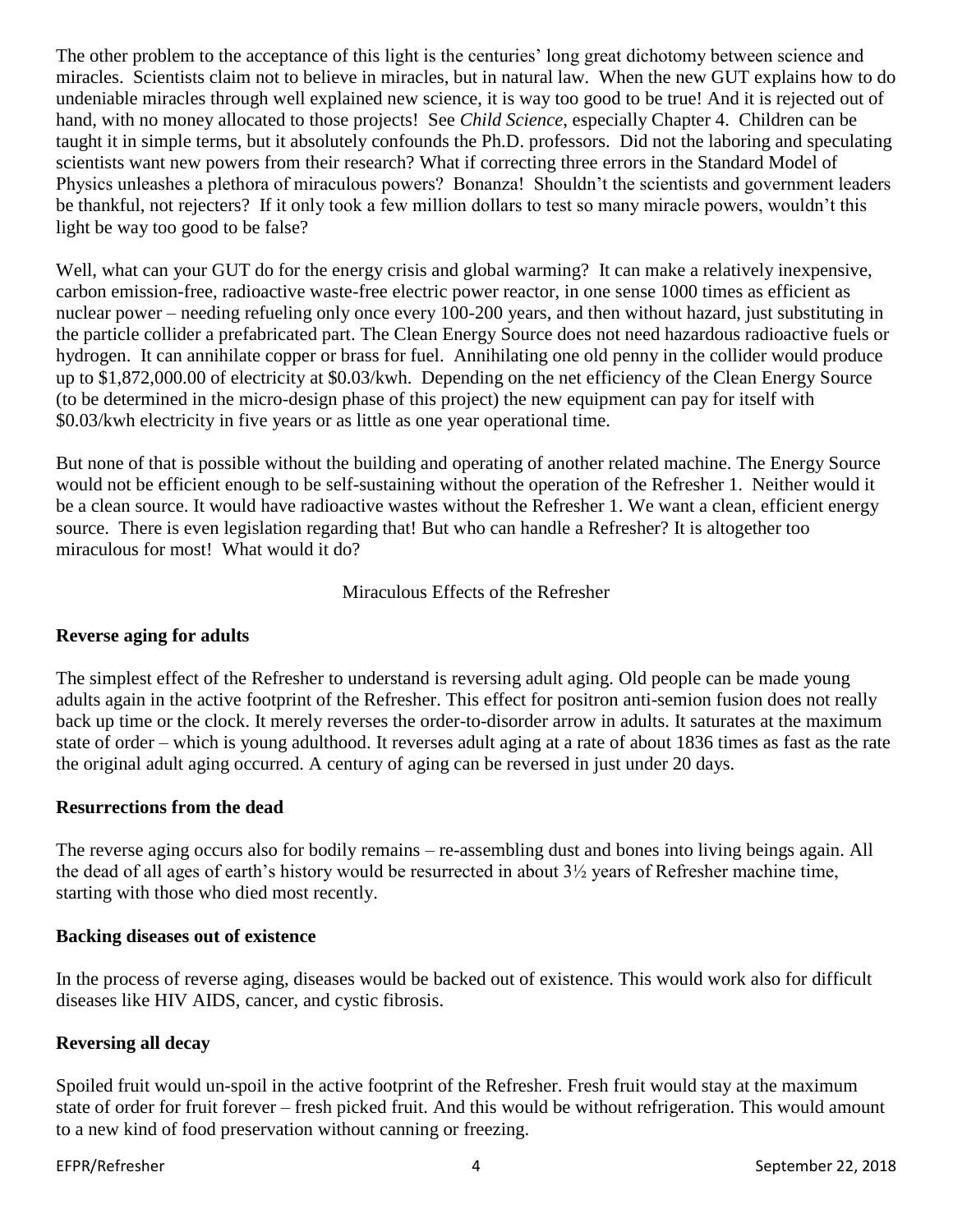The other problem to the acceptance of this light is the centuries' long great dichotomy between science and miracles. Scientists claim not to believe in miracles, but in natural law. When the new GUT explains how to do undeniable miracles through well explained new science, it is way too good to be true! And it is rejected out of hand, with no money allocated to those projects! See *Child Science*, especially Chapter 4. Children can be taught it in simple terms, but it absolutely confounds the Ph.D. professors. Did not the laboring and speculating scientists want new powers from their research? What if correcting three errors in the Standard Model of Physics unleashes a plethora of miraculous powers? Bonanza! Shouldn't the scientists and government leaders be thankful, not rejecters? If it only took a few million dollars to test so many miracle powers, wouldn't this light be way too good to be false?

Well, what can your GUT do for the energy crisis and global warming? It can make a relatively inexpensive, carbon emission-free, radioactive waste-free electric power reactor, in one sense 1000 times as efficient as nuclear power – needing refueling only once every 100-200 years, and then without hazard, just substituting in the particle collider a prefabricated part. The Clean Energy Source does not need hazardous radioactive fuels or hydrogen. It can annihilate copper or brass for fuel. Annihilating one old penny in the collider would produce up to \$1,872,000.00 of electricity at \$0.03/kwh. Depending on the net efficiency of the Clean Energy Source (to be determined in the micro-design phase of this project) the new equipment can pay for itself with \$0.03/kwh electricity in five years or as little as one year operational time.

But none of that is possible without the building and operating of another related machine. The Energy Source would not be efficient enough to be self-sustaining without the operation of the Refresher 1. Neither would it be a clean source. It would have radioactive wastes without the Refresher 1. We want a clean, efficient energy source. There is even legislation regarding that! But who can handle a Refresher? It is altogether too miraculous for most! What would it do?

Miraculous Effects of the Refresher

## **Reverse aging for adults**

The simplest effect of the Refresher to understand is reversing adult aging. Old people can be made young adults again in the active footprint of the Refresher. This effect for positron anti-semion fusion does not really back up time or the clock. It merely reverses the order-to-disorder arrow in adults. It saturates at the maximum state of order – which is young adulthood. It reverses adult aging at a rate of about 1836 times as fast as the rate the original adult aging occurred. A century of aging can be reversed in just under 20 days.

#### **Resurrections from the dead**

The reverse aging occurs also for bodily remains – re-assembling dust and bones into living beings again. All the dead of all ages of earth's history would be resurrected in about 3½ years of Refresher machine time, starting with those who died most recently.

#### **Backing diseases out of existence**

In the process of reverse aging, diseases would be backed out of existence. This would work also for difficult diseases like HIV AIDS, cancer, and cystic fibrosis.

## **Reversing all decay**

Spoiled fruit would un-spoil in the active footprint of the Refresher. Fresh fruit would stay at the maximum state of order for fruit forever – fresh picked fruit. And this would be without refrigeration. This would amount to a new kind of food preservation without canning or freezing.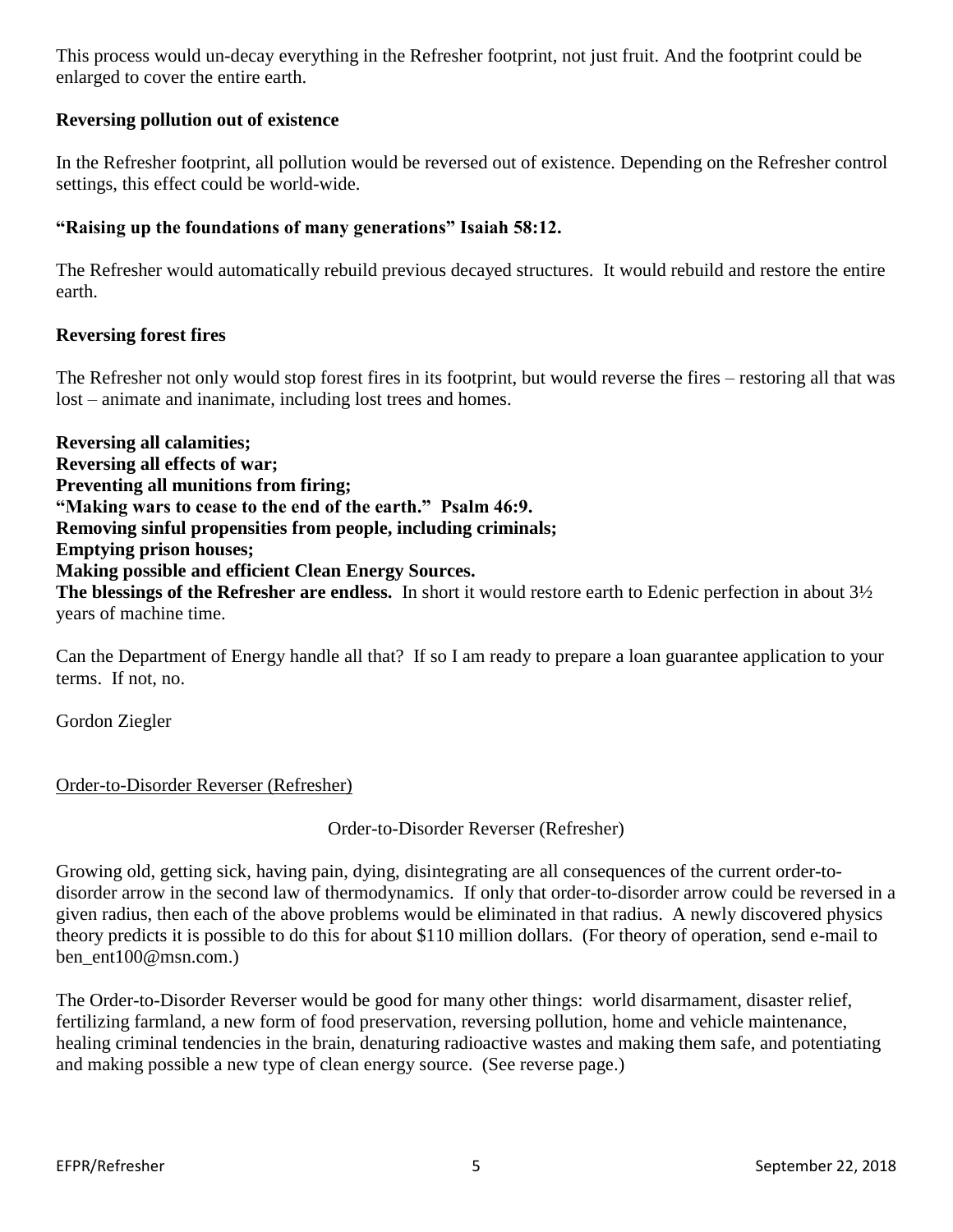This process would un-decay everything in the Refresher footprint, not just fruit. And the footprint could be enlarged to cover the entire earth.

## **Reversing pollution out of existence**

In the Refresher footprint, all pollution would be reversed out of existence. Depending on the Refresher control settings, this effect could be world-wide.

## **"Raising up the foundations of many generations" Isaiah 58:12.**

The Refresher would automatically rebuild previous decayed structures. It would rebuild and restore the entire earth.

## **Reversing forest fires**

The Refresher not only would stop forest fires in its footprint, but would reverse the fires – restoring all that was lost – animate and inanimate, including lost trees and homes.

**Reversing all calamities; Reversing all effects of war; Preventing all munitions from firing; "Making wars to cease to the end of the earth." Psalm 46:9. Removing sinful propensities from people, including criminals; Emptying prison houses; Making possible and efficient Clean Energy Sources. The blessings of the Refresher are endless.** In short it would restore earth to Edenic perfection in about 3½ years of machine time.

Can the Department of Energy handle all that? If so I am ready to prepare a loan guarantee application to your terms. If not, no.

Gordon Ziegler

## Order-to-Disorder Reverser (Refresher)

Order-to-Disorder Reverser (Refresher)

Growing old, getting sick, having pain, dying, disintegrating are all consequences of the current order-todisorder arrow in the second law of thermodynamics. If only that order-to-disorder arrow could be reversed in a given radius, then each of the above problems would be eliminated in that radius. A newly discovered physics theory predicts it is possible to do this for about \$110 million dollars. (For theory of operation, send e-mail to ben\_ent100@msn.com.)

The Order-to-Disorder Reverser would be good for many other things: world disarmament, disaster relief, fertilizing farmland, a new form of food preservation, reversing pollution, home and vehicle maintenance, healing criminal tendencies in the brain, denaturing radioactive wastes and making them safe, and potentiating and making possible a new type of clean energy source. (See reverse page.)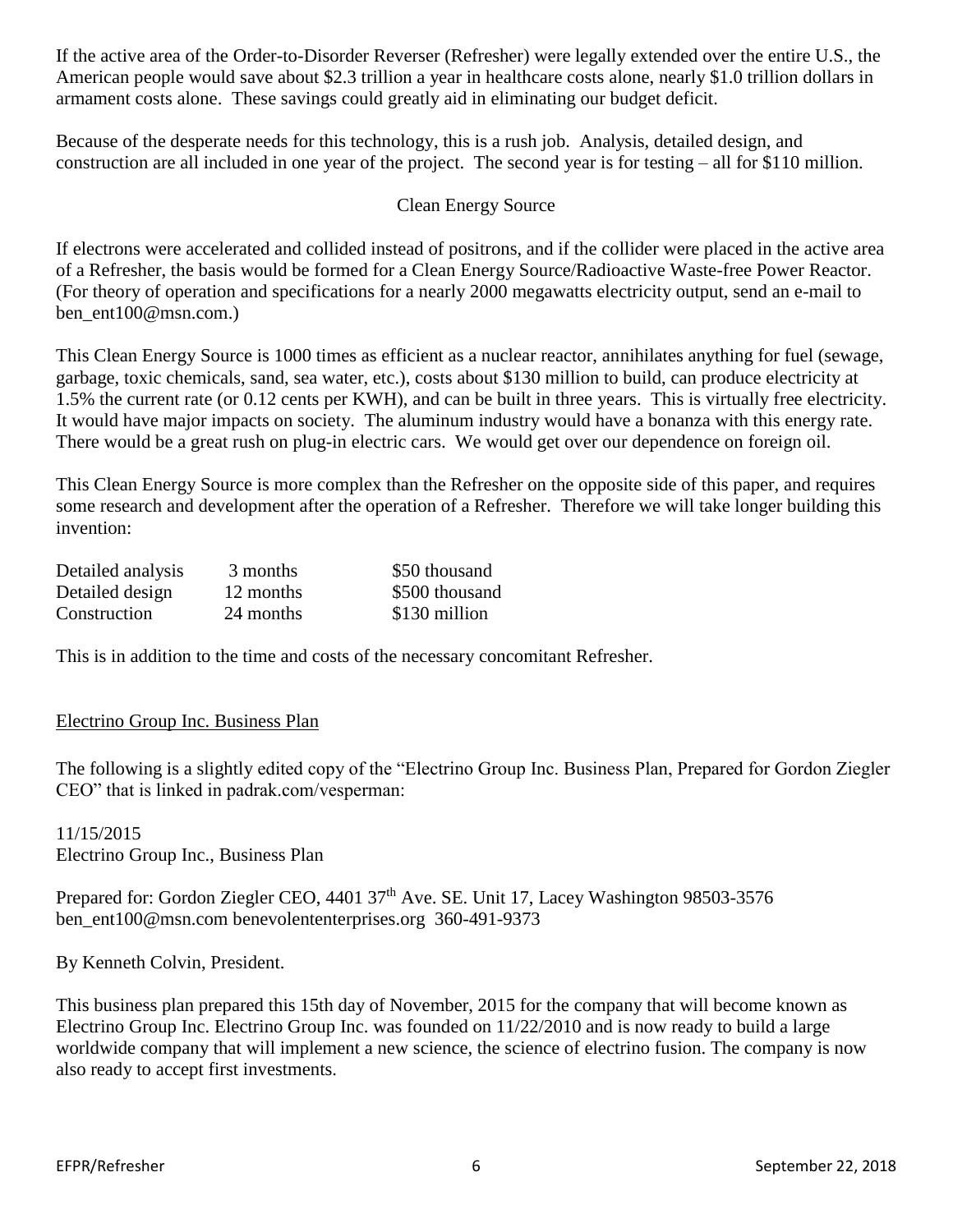If the active area of the Order-to-Disorder Reverser (Refresher) were legally extended over the entire U.S., the American people would save about \$2.3 trillion a year in healthcare costs alone, nearly \$1.0 trillion dollars in armament costs alone. These savings could greatly aid in eliminating our budget deficit.

Because of the desperate needs for this technology, this is a rush job. Analysis, detailed design, and construction are all included in one year of the project. The second year is for testing – all for \$110 million.

#### Clean Energy Source

If electrons were accelerated and collided instead of positrons, and if the collider were placed in the active area of a Refresher, the basis would be formed for a Clean Energy Source/Radioactive Waste-free Power Reactor. (For theory of operation and specifications for a nearly 2000 megawatts electricity output, send an e-mail to ben\_ent100@msn.com.)

This Clean Energy Source is 1000 times as efficient as a nuclear reactor, annihilates anything for fuel (sewage, garbage, toxic chemicals, sand, sea water, etc.), costs about \$130 million to build, can produce electricity at 1.5% the current rate (or 0.12 cents per KWH), and can be built in three years. This is virtually free electricity. It would have major impacts on society. The aluminum industry would have a bonanza with this energy rate. There would be a great rush on plug-in electric cars. We would get over our dependence on foreign oil.

This Clean Energy Source is more complex than the Refresher on the opposite side of this paper, and requires some research and development after the operation of a Refresher. Therefore we will take longer building this invention:

| Detailed analysis | 3 months  | \$50 thousand  |
|-------------------|-----------|----------------|
| Detailed design   | 12 months | \$500 thousand |
| Construction      | 24 months | \$130 million  |

This is in addition to the time and costs of the necessary concomitant Refresher.

## Electrino Group Inc. Business Plan

The following is a slightly edited copy of the "Electrino Group Inc. Business Plan, Prepared for Gordon Ziegler CEO" that is linked in padrak.com/vesperman:

11/15/2015 Electrino Group Inc., Business Plan

Prepared for: Gordon Ziegler CEO, 4401 37<sup>th</sup> Ave. SE. Unit 17, Lacey Washington 98503-3576 ben\_ent100@msn.com benevolententerprises.org 360-491-9373

By Kenneth Colvin, President.

This business plan prepared this 15th day of November, 2015 for the company that will become known as Electrino Group Inc. Electrino Group Inc. was founded on 11/22/2010 and is now ready to build a large worldwide company that will implement a new science, the science of electrino fusion. The company is now also ready to accept first investments.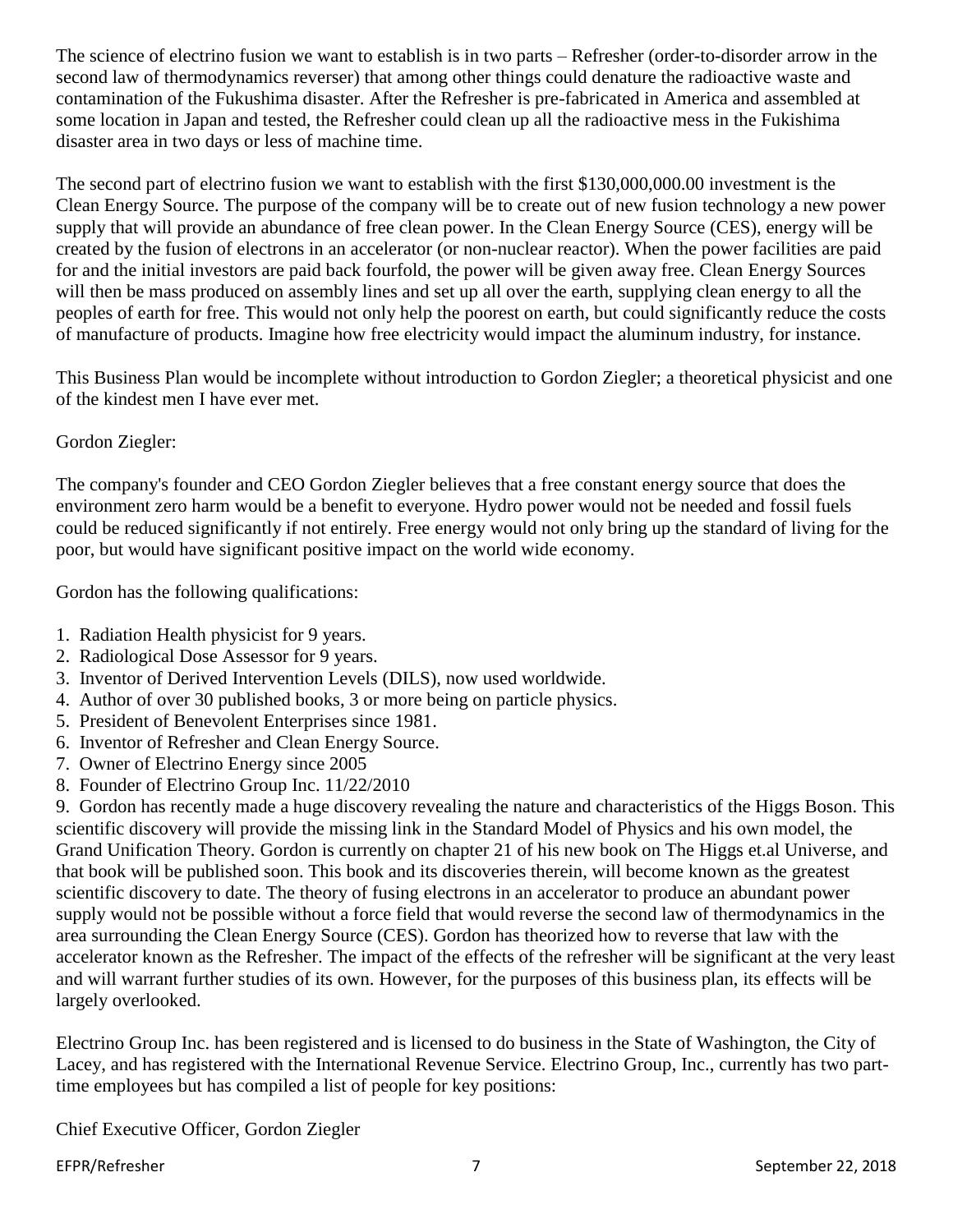The science of electrino fusion we want to establish is in two parts – Refresher (order-to-disorder arrow in the second law of thermodynamics reverser) that among other things could denature the radioactive waste and contamination of the Fukushima disaster. After the Refresher is pre-fabricated in America and assembled at some location in Japan and tested, the Refresher could clean up all the radioactive mess in the Fukishima disaster area in two days or less of machine time.

The second part of electrino fusion we want to establish with the first \$130,000,000.00 investment is the Clean Energy Source. The purpose of the company will be to create out of new fusion technology a new power supply that will provide an abundance of free clean power. In the Clean Energy Source (CES), energy will be created by the fusion of electrons in an accelerator (or non-nuclear reactor). When the power facilities are paid for and the initial investors are paid back fourfold, the power will be given away free. Clean Energy Sources will then be mass produced on assembly lines and set up all over the earth, supplying clean energy to all the peoples of earth for free. This would not only help the poorest on earth, but could significantly reduce the costs of manufacture of products. Imagine how free electricity would impact the aluminum industry, for instance.

This Business Plan would be incomplete without introduction to Gordon Ziegler; a theoretical physicist and one of the kindest men I have ever met.

## Gordon Ziegler:

The company's founder and CEO Gordon Ziegler believes that a free constant energy source that does the environment zero harm would be a benefit to everyone. Hydro power would not be needed and fossil fuels could be reduced significantly if not entirely. Free energy would not only bring up the standard of living for the poor, but would have significant positive impact on the world wide economy.

Gordon has the following qualifications:

- 1. Radiation Health physicist for 9 years.
- 2. Radiological Dose Assessor for 9 years.
- 3. Inventor of Derived Intervention Levels (DILS), now used worldwide.
- 4. Author of over 30 published books, 3 or more being on particle physics.
- 5. President of Benevolent Enterprises since 1981.
- 6. Inventor of Refresher and Clean Energy Source.
- 7. Owner of Electrino Energy since 2005
- 8. Founder of Electrino Group Inc. 11/22/2010

9. Gordon has recently made a huge discovery revealing the nature and characteristics of the Higgs Boson. This scientific discovery will provide the missing link in the Standard Model of Physics and his own model, the Grand Unification Theory. Gordon is currently on chapter 21 of his new book on The Higgs et.al Universe, and that book will be published soon. This book and its discoveries therein, will become known as the greatest scientific discovery to date. The theory of fusing electrons in an accelerator to produce an abundant power supply would not be possible without a force field that would reverse the second law of thermodynamics in the area surrounding the Clean Energy Source (CES). Gordon has theorized how to reverse that law with the accelerator known as the Refresher. The impact of the effects of the refresher will be significant at the very least and will warrant further studies of its own. However, for the purposes of this business plan, its effects will be largely overlooked.

Electrino Group Inc. has been registered and is licensed to do business in the State of Washington, the City of Lacey, and has registered with the International Revenue Service. Electrino Group, Inc., currently has two parttime employees but has compiled a list of people for key positions:

Chief Executive Officer, Gordon Ziegler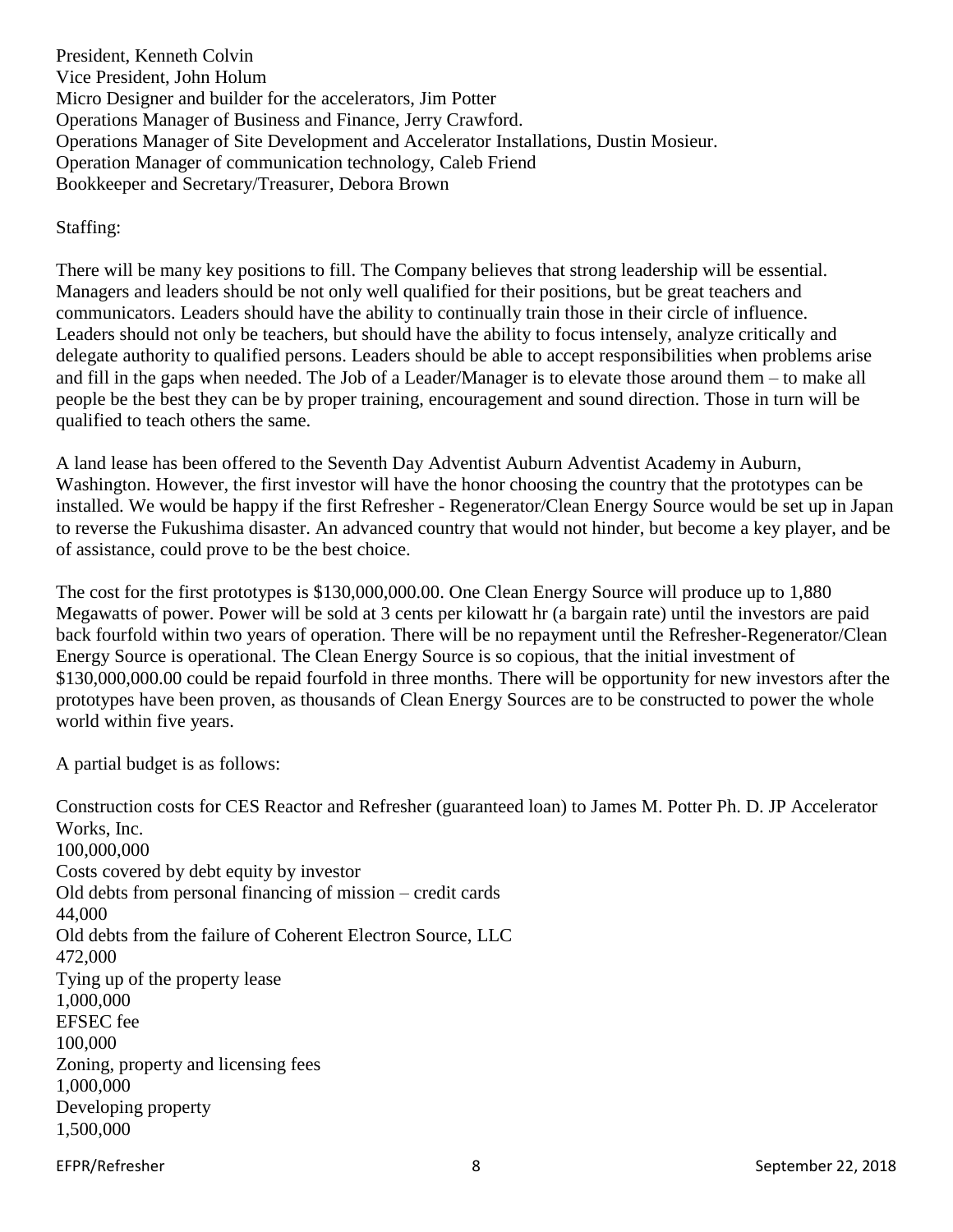President, Kenneth Colvin Vice President, John Holum Micro Designer and builder for the accelerators, Jim Potter Operations Manager of Business and Finance, Jerry Crawford. Operations Manager of Site Development and Accelerator Installations, Dustin Mosieur. Operation Manager of communication technology, Caleb Friend Bookkeeper and Secretary/Treasurer, Debora Brown

#### Staffing:

There will be many key positions to fill. The Company believes that strong leadership will be essential. Managers and leaders should be not only well qualified for their positions, but be great teachers and communicators. Leaders should have the ability to continually train those in their circle of influence. Leaders should not only be teachers, but should have the ability to focus intensely, analyze critically and delegate authority to qualified persons. Leaders should be able to accept responsibilities when problems arise and fill in the gaps when needed. The Job of a Leader/Manager is to elevate those around them – to make all people be the best they can be by proper training, encouragement and sound direction. Those in turn will be qualified to teach others the same.

A land lease has been offered to the Seventh Day Adventist Auburn Adventist Academy in Auburn, Washington. However, the first investor will have the honor choosing the country that the prototypes can be installed. We would be happy if the first Refresher - Regenerator/Clean Energy Source would be set up in Japan to reverse the Fukushima disaster. An advanced country that would not hinder, but become a key player, and be of assistance, could prove to be the best choice.

The cost for the first prototypes is \$130,000,000.00. One Clean Energy Source will produce up to 1,880 Megawatts of power. Power will be sold at 3 cents per kilowatt hr (a bargain rate) until the investors are paid back fourfold within two years of operation. There will be no repayment until the Refresher-Regenerator/Clean Energy Source is operational. The Clean Energy Source is so copious, that the initial investment of \$130,000,000.00 could be repaid fourfold in three months. There will be opportunity for new investors after the prototypes have been proven, as thousands of Clean Energy Sources are to be constructed to power the whole world within five years.

A partial budget is as follows:

Construction costs for CES Reactor and Refresher (guaranteed loan) to James M. Potter Ph. D. JP Accelerator Works, Inc. 100,000,000 Costs covered by debt equity by investor Old debts from personal financing of mission – credit cards 44,000 Old debts from the failure of Coherent Electron Source, LLC 472,000 Tying up of the property lease 1,000,000 EFSEC fee 100,000 Zoning, property and licensing fees 1,000,000 Developing property 1,500,000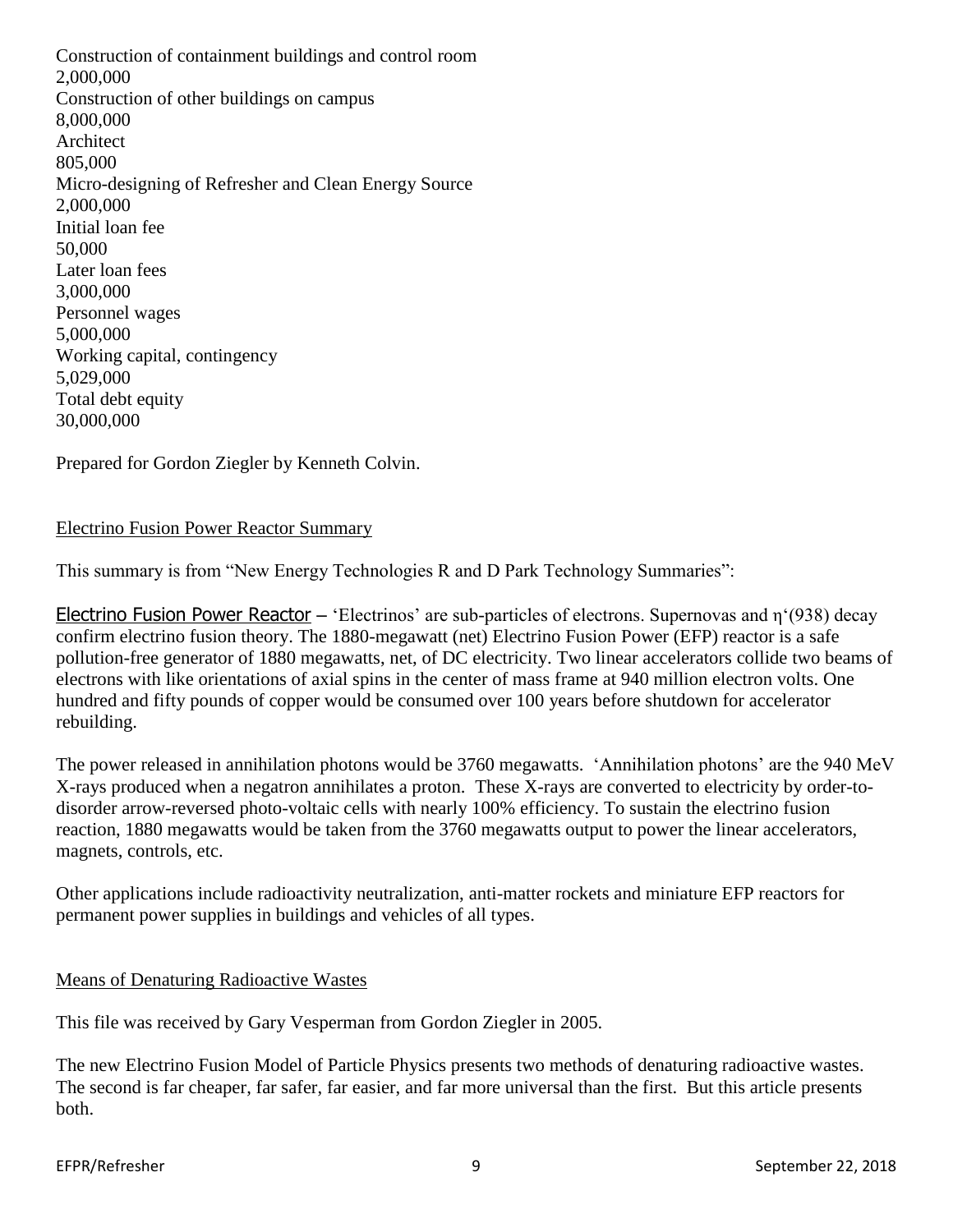Construction of containment buildings and control room 2,000,000 Construction of other buildings on campus 8,000,000 Architect 805,000 Micro-designing of Refresher and Clean Energy Source 2,000,000 Initial loan fee 50,000 Later loan fees 3,000,000 Personnel wages 5,000,000 Working capital, contingency 5,029,000 Total debt equity 30,000,000

Prepared for Gordon Ziegler by Kenneth Colvin.

#### Electrino Fusion Power Reactor Summary

This summary is from "New Energy Technologies R and D Park Technology Summaries":

Electrino Fusion Power Reactor – 'Electrinos' are sub-particles of electrons. Supernovas and η'(938) decay confirm electrino fusion theory. The 1880-megawatt (net) Electrino Fusion Power (EFP) reactor is a safe pollution-free generator of 1880 megawatts, net, of DC electricity. Two linear accelerators collide two beams of electrons with like orientations of axial spins in the center of mass frame at 940 million electron volts. One hundred and fifty pounds of copper would be consumed over 100 years before shutdown for accelerator rebuilding.

The power released in annihilation photons would be 3760 megawatts. 'Annihilation photons' are the 940 MeV X-rays produced when a negatron annihilates a proton. These X-rays are converted to electricity by order-todisorder arrow-reversed photo-voltaic cells with nearly 100% efficiency. To sustain the electrino fusion reaction, 1880 megawatts would be taken from the 3760 megawatts output to power the linear accelerators, magnets, controls, etc.

Other applications include radioactivity neutralization, anti-matter rockets and miniature EFP reactors for permanent power supplies in buildings and vehicles of all types.

#### Means of Denaturing Radioactive Wastes

This file was received by Gary Vesperman from Gordon Ziegler in 2005.

The new Electrino Fusion Model of Particle Physics presents two methods of denaturing radioactive wastes. The second is far cheaper, far safer, far easier, and far more universal than the first. But this article presents both.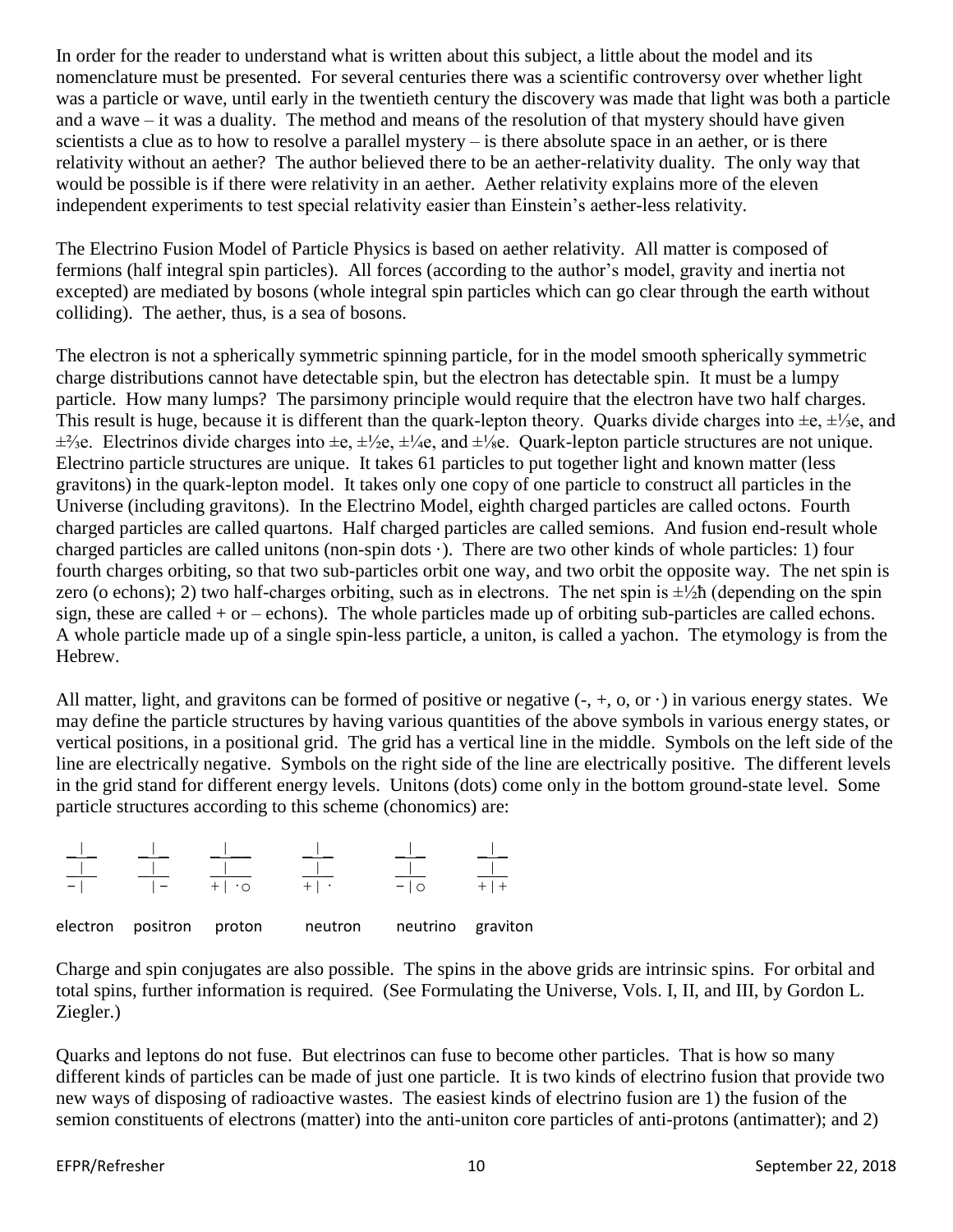In order for the reader to understand what is written about this subject, a little about the model and its nomenclature must be presented. For several centuries there was a scientific controversy over whether light was a particle or wave, until early in the twentieth century the discovery was made that light was both a particle and a wave – it was a duality. The method and means of the resolution of that mystery should have given scientists a clue as to how to resolve a parallel mystery – is there absolute space in an aether, or is there relativity without an aether? The author believed there to be an aether-relativity duality. The only way that would be possible is if there were relativity in an aether. Aether relativity explains more of the eleven independent experiments to test special relativity easier than Einstein's aether-less relativity.

The Electrino Fusion Model of Particle Physics is based on aether relativity. All matter is composed of fermions (half integral spin particles). All forces (according to the author's model, gravity and inertia not excepted) are mediated by bosons (whole integral spin particles which can go clear through the earth without colliding). The aether, thus, is a sea of bosons.

The electron is not a spherically symmetric spinning particle, for in the model smooth spherically symmetric charge distributions cannot have detectable spin, but the electron has detectable spin. It must be a lumpy particle. How many lumps? The parsimony principle would require that the electron have two half charges. This result is huge, because it is different than the quark-lepton theory. Quarks divide charges into ±e, ±⅓e, and  $\pm\frac{2}{3}$ e. Electrinos divide charges into  $\pm$ e,  $\pm\frac{1}{2}$ e,  $\pm\frac{1}{4}$ e, and  $\pm\frac{1}{8}$ e. Quark-lepton particle structures are not unique. Electrino particle structures are unique. It takes 61 particles to put together light and known matter (less gravitons) in the quark-lepton model. It takes only one copy of one particle to construct all particles in the Universe (including gravitons). In the Electrino Model, eighth charged particles are called octons. Fourth charged particles are called quartons. Half charged particles are called semions. And fusion end-result whole charged particles are called unitons (non-spin dots ·). There are two other kinds of whole particles: 1) four fourth charges orbiting, so that two sub-particles orbit one way, and two orbit the opposite way. The net spin is zero (o echons); 2) two half-charges orbiting, such as in electrons. The net spin is  $\pm\frac{1}{2}$ h (depending on the spin sign, these are called  $+$  or  $-$  echons). The whole particles made up of orbiting sub-particles are called echons. A whole particle made up of a single spin-less particle, a uniton, is called a yachon. The etymology is from the Hebrew.

All matter, light, and gravitons can be formed of positive or negative  $(-, +, o, or \cdot)$  in various energy states. We may define the particle structures by having various quantities of the above symbols in various energy states, or vertical positions, in a positional grid. The grid has a vertical line in the middle. Symbols on the left side of the line are electrically negative. Symbols on the right side of the line are electrically positive. The different levels in the grid stand for different energy levels. Unitons (dots) come only in the bottom ground-state level. Some particle structures according to this scheme (chonomics) are:

| $\overline{\phantom{a}}$ |                          | $\cdot$ 0 |         |                   |  |
|--------------------------|--------------------------|-----------|---------|-------------------|--|
|                          | electron positron proton |           | neutron | neutrino graviton |  |

Charge and spin conjugates are also possible. The spins in the above grids are intrinsic spins. For orbital and total spins, further information is required. (See Formulating the Universe, Vols. I, II, and III, by Gordon L. Ziegler.)

Quarks and leptons do not fuse. But electrinos can fuse to become other particles. That is how so many different kinds of particles can be made of just one particle. It is two kinds of electrino fusion that provide two new ways of disposing of radioactive wastes. The easiest kinds of electrino fusion are 1) the fusion of the semion constituents of electrons (matter) into the anti-uniton core particles of anti-protons (antimatter); and 2)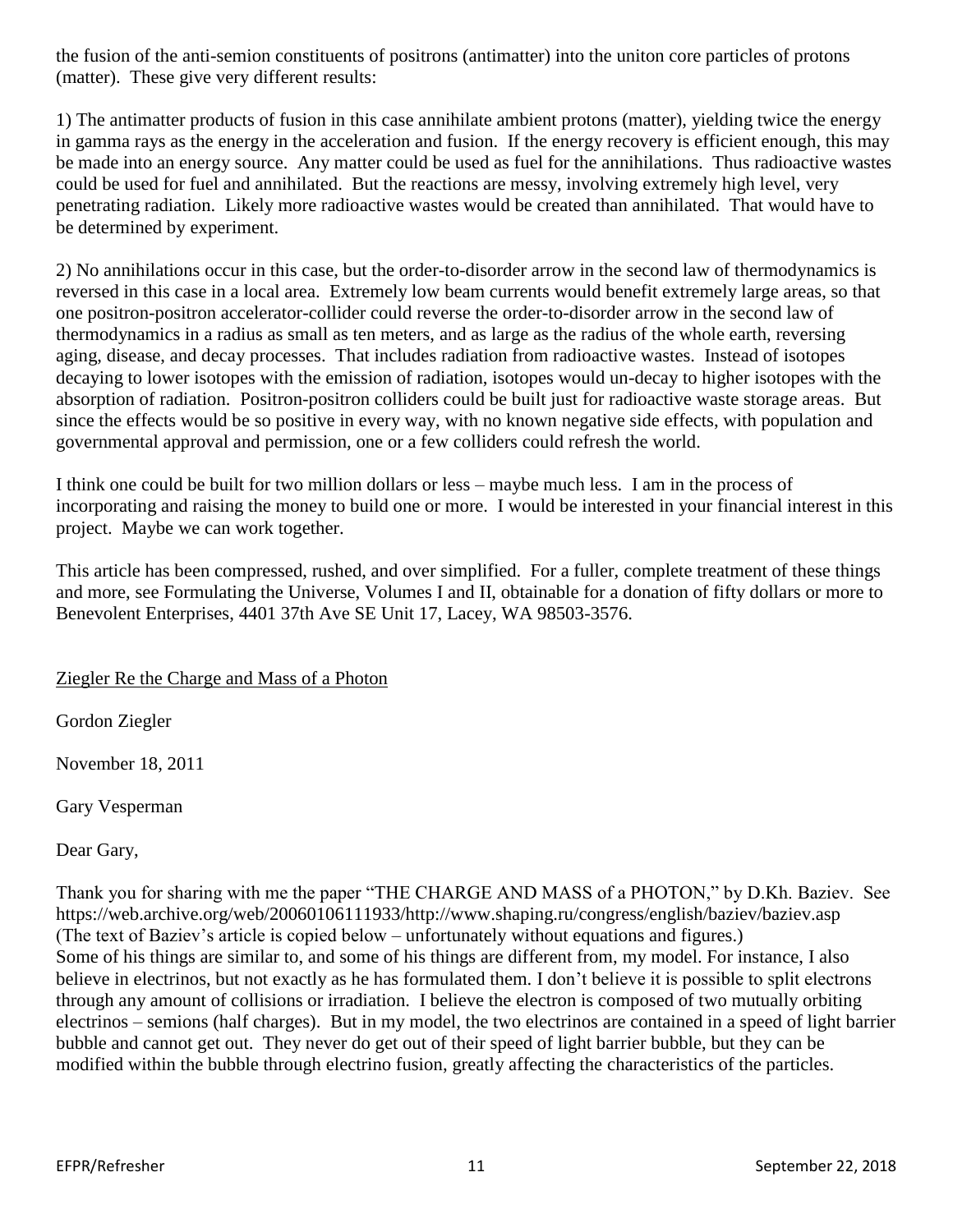the fusion of the anti-semion constituents of positrons (antimatter) into the uniton core particles of protons (matter). These give very different results:

1) The antimatter products of fusion in this case annihilate ambient protons (matter), yielding twice the energy in gamma rays as the energy in the acceleration and fusion. If the energy recovery is efficient enough, this may be made into an energy source. Any matter could be used as fuel for the annihilations. Thus radioactive wastes could be used for fuel and annihilated. But the reactions are messy, involving extremely high level, very penetrating radiation. Likely more radioactive wastes would be created than annihilated. That would have to be determined by experiment.

2) No annihilations occur in this case, but the order-to-disorder arrow in the second law of thermodynamics is reversed in this case in a local area. Extremely low beam currents would benefit extremely large areas, so that one positron-positron accelerator-collider could reverse the order-to-disorder arrow in the second law of thermodynamics in a radius as small as ten meters, and as large as the radius of the whole earth, reversing aging, disease, and decay processes. That includes radiation from radioactive wastes. Instead of isotopes decaying to lower isotopes with the emission of radiation, isotopes would un-decay to higher isotopes with the absorption of radiation. Positron-positron colliders could be built just for radioactive waste storage areas. But since the effects would be so positive in every way, with no known negative side effects, with population and governmental approval and permission, one or a few colliders could refresh the world.

I think one could be built for two million dollars or less – maybe much less. I am in the process of incorporating and raising the money to build one or more. I would be interested in your financial interest in this project. Maybe we can work together.

This article has been compressed, rushed, and over simplified. For a fuller, complete treatment of these things and more, see Formulating the Universe, Volumes I and II, obtainable for a donation of fifty dollars or more to Benevolent Enterprises, 4401 37th Ave SE Unit 17, Lacey, WA 98503-3576.

## Ziegler Re the Charge and Mass of a Photon

Gordon Ziegler

November 18, 2011

Gary Vesperman

Dear Gary,

Thank you for sharing with me the paper "THE CHARGE AND MASS of a PHOTON," by D.Kh. Baziev. See https://web.archive.org/web/20060106111933/http://www.shaping.ru/congress/english/baziev/baziev.asp (The text of Baziev's article is copied below – unfortunately without equations and figures.) Some of his things are similar to, and some of his things are different from, my model. For instance, I also believe in electrinos, but not exactly as he has formulated them. I don't believe it is possible to split electrons through any amount of collisions or irradiation. I believe the electron is composed of two mutually orbiting electrinos – semions (half charges). But in my model, the two electrinos are contained in a speed of light barrier bubble and cannot get out. They never do get out of their speed of light barrier bubble, but they can be modified within the bubble through electrino fusion, greatly affecting the characteristics of the particles.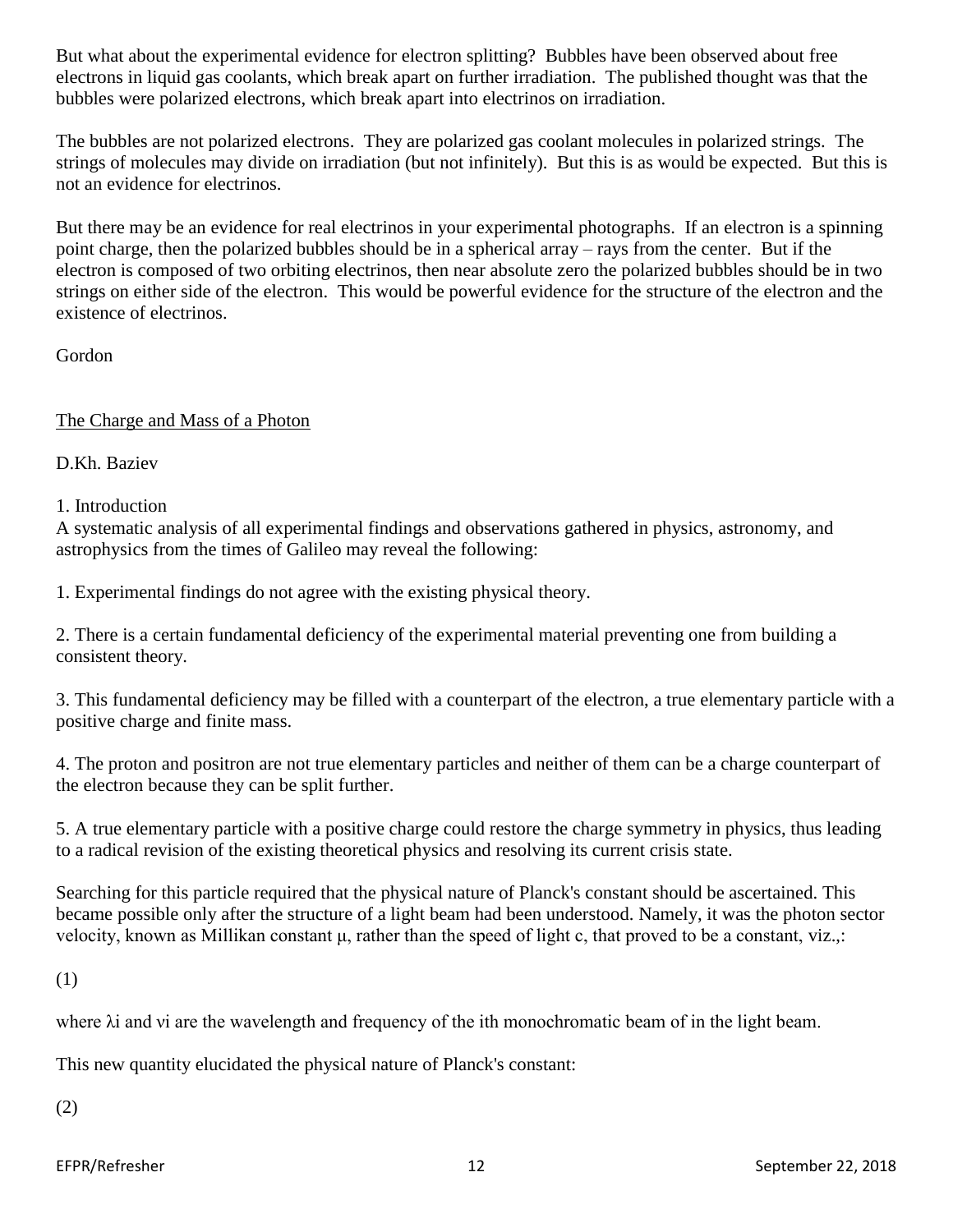But what about the experimental evidence for electron splitting? Bubbles have been observed about free electrons in liquid gas coolants, which break apart on further irradiation. The published thought was that the bubbles were polarized electrons, which break apart into electrinos on irradiation.

The bubbles are not polarized electrons. They are polarized gas coolant molecules in polarized strings. The strings of molecules may divide on irradiation (but not infinitely). But this is as would be expected. But this is not an evidence for electrinos.

But there may be an evidence for real electrinos in your experimental photographs. If an electron is a spinning point charge, then the polarized bubbles should be in a spherical array – rays from the center. But if the electron is composed of two orbiting electrinos, then near absolute zero the polarized bubbles should be in two strings on either side of the electron. This would be powerful evidence for the structure of the electron and the existence of electrinos.

Gordon

The Charge and Mass of a Photon

D.Kh. Baziev

1. Introduction

A systematic analysis of all experimental findings and observations gathered in physics, astronomy, and astrophysics from the times of Galileo may reveal the following:

1. Experimental findings do not agree with the existing physical theory.

2. There is a certain fundamental deficiency of the experimental material preventing one from building a consistent theory.

3. This fundamental deficiency may be filled with a counterpart of the electron, a true elementary particle with a positive charge and finite mass.

4. The proton and positron are not true elementary particles and neither of them can be a charge counterpart of the electron because they can be split further.

5. A true elementary particle with a positive charge could restore the charge symmetry in physics, thus leading to a radical revision of the existing theoretical physics and resolving its current crisis state.

Searching for this particle required that the physical nature of Planck's constant should be ascertained. This became possible only after the structure of a light beam had been understood. Namely, it was the photon sector velocity, known as Millikan constant μ, rather than the speed of light c, that proved to be a constant, viz.,:

## (1)

where λi and νi are the wavelength and frequency of the ith monochromatic beam of in the light beam.

This new quantity elucidated the physical nature of Planck's constant:

(2)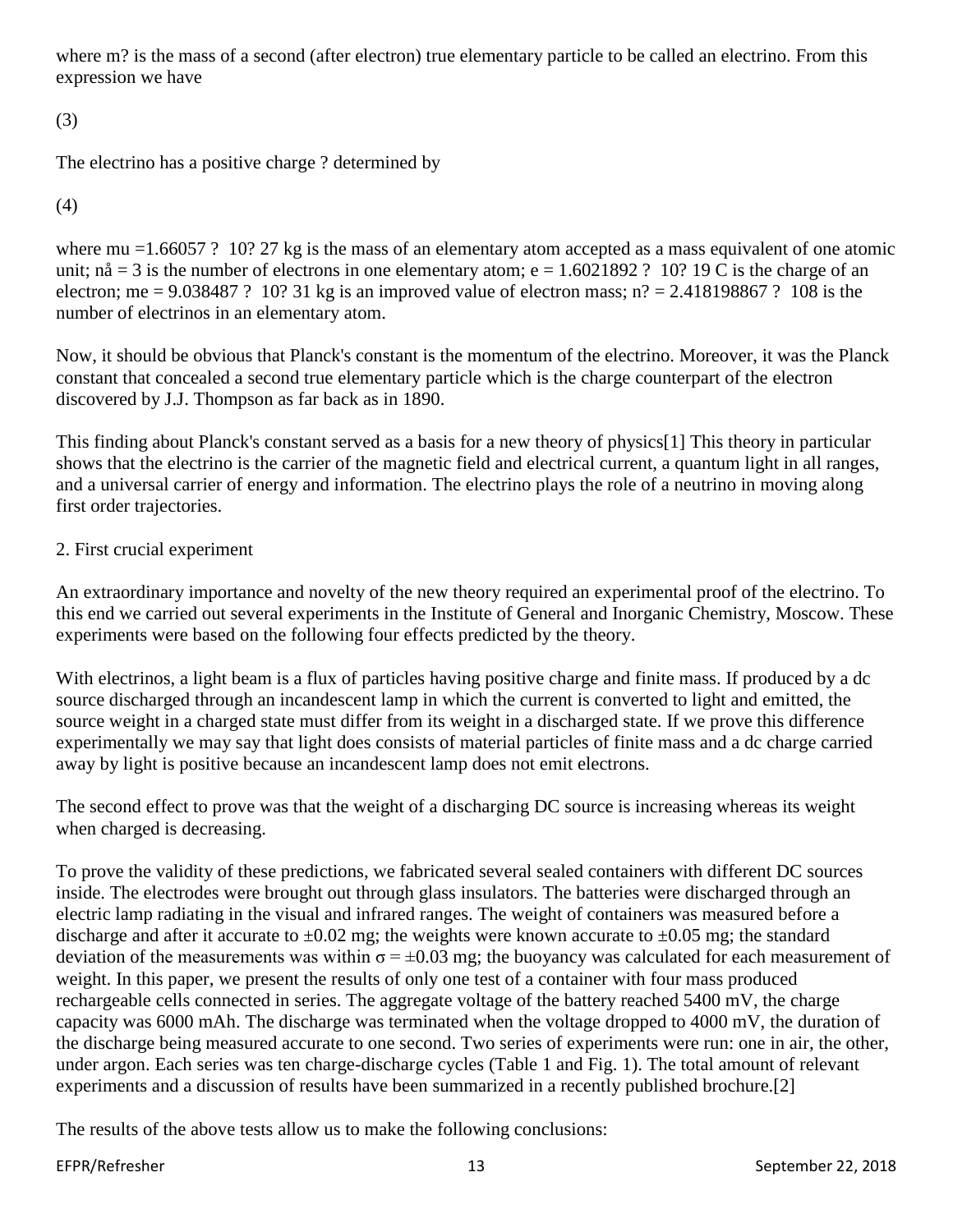where m? is the mass of a second (after electron) true elementary particle to be called an electrino. From this expression we have

(3)

The electrino has a positive charge ? determined by

(4)

where mu =1.66057 ? 10? 27 kg is the mass of an elementary atom accepted as a mass equivalent of one atomic unit; nå = 3 is the number of electrons in one elementary atom;  $e = 1.6021892$  ? 10? 19 C is the charge of an electron; me = 9.038487 ? 10? 31 kg is an improved value of electron mass; n? = 2.418198867 ? 108 is the number of electrinos in an elementary atom.

Now, it should be obvious that Planck's constant is the momentum of the electrino. Moreover, it was the Planck constant that concealed a second true elementary particle which is the charge counterpart of the electron discovered by J.J. Thompson as far back as in 1890.

This finding about Planck's constant served as a basis for a new theory of physics[1] This theory in particular shows that the electrino is the carrier of the magnetic field and electrical current, a quantum light in all ranges, and a universal carrier of energy and information. The electrino plays the role of a neutrino in moving along first order trajectories.

## 2. First crucial experiment

An extraordinary importance and novelty of the new theory required an experimental proof of the electrino. To this end we carried out several experiments in the Institute of General and Inorganic Chemistry, Moscow. These experiments were based on the following four effects predicted by the theory.

With electrinos, a light beam is a flux of particles having positive charge and finite mass. If produced by a dc source discharged through an incandescent lamp in which the current is converted to light and emitted, the source weight in a charged state must differ from its weight in a discharged state. If we prove this difference experimentally we may say that light does consists of material particles of finite mass and a dc charge carried away by light is positive because an incandescent lamp does not emit electrons.

The second effect to prove was that the weight of a discharging DC source is increasing whereas its weight when charged is decreasing.

To prove the validity of these predictions, we fabricated several sealed containers with different DC sources inside. The electrodes were brought out through glass insulators. The batteries were discharged through an electric lamp radiating in the visual and infrared ranges. The weight of containers was measured before a discharge and after it accurate to  $\pm 0.02$  mg; the weights were known accurate to  $\pm 0.05$  mg; the standard deviation of the measurements was within  $\sigma = \pm 0.03$  mg; the buoyancy was calculated for each measurement of weight. In this paper, we present the results of only one test of a container with four mass produced rechargeable cells connected in series. The aggregate voltage of the battery reached 5400 mV, the charge capacity was 6000 mAh. The discharge was terminated when the voltage dropped to 4000 mV, the duration of the discharge being measured accurate to one second. Two series of experiments were run: one in air, the other, under argon. Each series was ten charge-discharge cycles (Table 1 and Fig. 1). The total amount of relevant experiments and a discussion of results have been summarized in a recently published brochure.[2]

The results of the above tests allow us to make the following conclusions: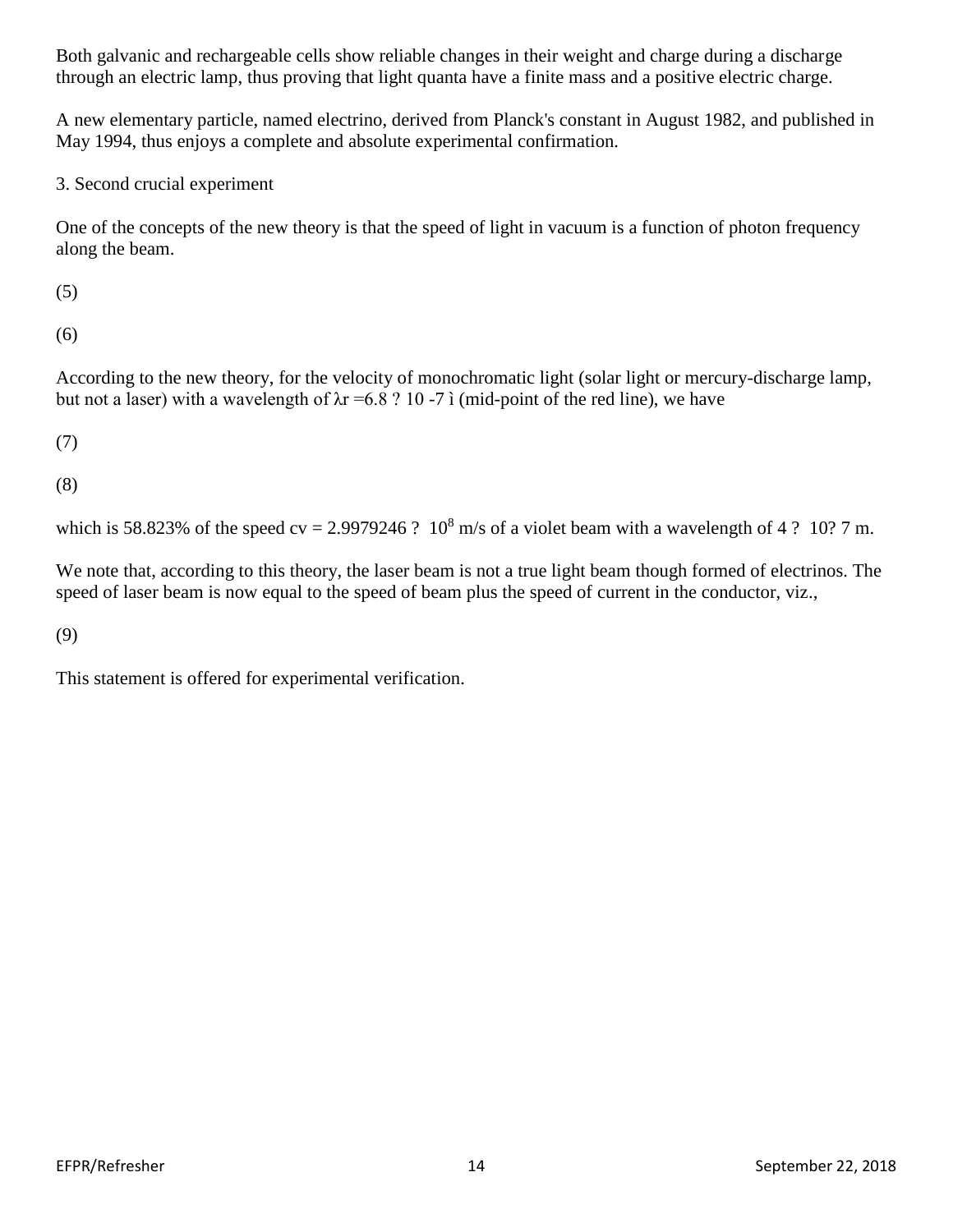Both galvanic and rechargeable cells show reliable changes in their weight and charge during a discharge through an electric lamp, thus proving that light quanta have a finite mass and a positive electric charge.

A new elementary particle, named electrino, derived from Planck's constant in August 1982, and published in May 1994, thus enjoys a complete and absolute experimental confirmation.

3. Second crucial experiment

One of the concepts of the new theory is that the speed of light in vacuum is a function of photon frequency along the beam.

(5)

(6)

According to the new theory, for the velocity of monochromatic light (solar light or mercury-discharge lamp, but not a laser) with a wavelength of  $\lambda r = 6.8$  ? 10 -7 ì (mid-point of the red line), we have

(7)

(8)

which is 58.823% of the speed cv = 2.9979246 ?  $10^8$  m/s of a violet beam with a wavelength of 4 ? 10? 7 m.

We note that, according to this theory, the laser beam is not a true light beam though formed of electrinos. The speed of laser beam is now equal to the speed of beam plus the speed of current in the conductor, viz.,

(9)

This statement is offered for experimental verification.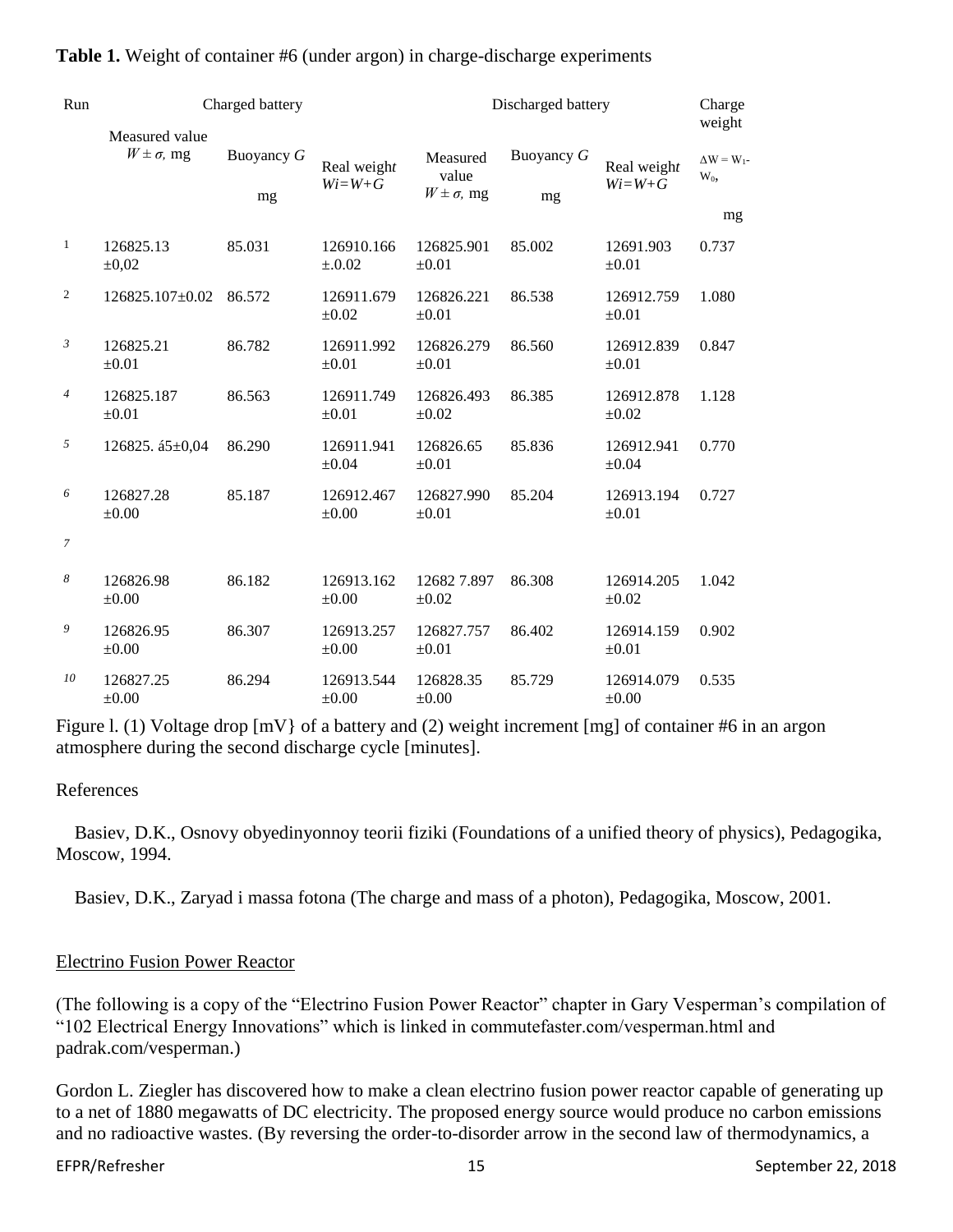| Run            | Charged battery                       |                    | Discharged battery          |                                          |                    | Charge<br>weight            |                                   |
|----------------|---------------------------------------|--------------------|-----------------------------|------------------------------------------|--------------------|-----------------------------|-----------------------------------|
|                | Measured value<br>$W \pm \sigma$ , mg | Buoyancy $G$<br>mg | Real weight<br>$Wi = W + G$ | Measured<br>value<br>$W \pm \sigma$ , mg | Buoyancy $G$<br>mg | Real weight<br>$Wi = W + G$ | $\Delta W = W_1$ -<br>$W_0$<br>mg |
| 1              | 126825.13<br>$\pm 0.02$               | 85.031             | 126910.166<br>$\pm$ .0.02   | 126825.901<br>$\pm 0.01$                 | 85.002             | 12691.903<br>$\pm 0.01$     | 0.737                             |
| $\overline{2}$ | $126825.107\pm0.02$                   | 86.572             | 126911.679<br>$\pm 0.02$    | 126826.221<br>$\pm 0.01$                 | 86.538             | 126912.759<br>$\pm 0.01$    | 1.080                             |
| $\mathfrak{Z}$ | 126825.21<br>$\pm 0.01$               | 86.782             | 126911.992<br>$\pm 0.01$    | 126826.279<br>$\pm 0.01$                 | 86.560             | 126912.839<br>$\pm 0.01$    | 0.847                             |
| $\overline{4}$ | 126825.187<br>$\pm 0.01$              | 86.563             | 126911.749<br>$\pm 0.01$    | 126826.493<br>$\pm 0.02$                 | 86.385             | 126912.878<br>$\pm 0.02$    | 1.128                             |
| 5              | 126825. $a5\pm0.04$                   | 86.290             | 126911.941<br>$\pm 0.04$    | 126826.65<br>$\pm 0.01$                  | 85.836             | 126912.941<br>$\pm 0.04$    | 0.770                             |
| 6              | 126827.28<br>$\pm 0.00$               | 85.187             | 126912.467<br>$\pm 0.00$    | 126827.990<br>$\pm 0.01$                 | 85.204             | 126913.194<br>$\pm 0.01$    | 0.727                             |
| $\overline{7}$ |                                       |                    |                             |                                          |                    |                             |                                   |
| 8              | 126826.98<br>$\pm 0.00$               | 86.182             | 126913.162<br>$\pm 0.00$    | 126827.897<br>$\pm 0.02$                 | 86.308             | 126914.205<br>$\pm 0.02$    | 1.042                             |
| 9              | 126826.95<br>$\pm 0.00$               | 86.307             | 126913.257<br>$\pm 0.00$    | 126827.757<br>$\pm 0.01$                 | 86.402             | 126914.159<br>$\pm 0.01$    | 0.902                             |
| 10             | 126827.25<br>$\pm 0.00$               | 86.294             | 126913.544<br>$\pm 0.00$    | 126828.35<br>$\pm 0.00$                  | 85.729             | 126914.079<br>$\pm 0.00$    | 0.535                             |

**Table 1.** Weight of container #6 (under argon) in charge-discharge experiments

Figure 1. (1) Voltage drop [mV] of a battery and (2) weight increment [mg] of container #6 in an argon atmosphere during the second discharge cycle [minutes].

#### References

 Basiev, D.K., Osnovy obyedinyonnoy teorii fiziki (Foundations of a unified theory of physics), Pedagogika, Moscow, 1994.

Basiev, D.K., Zaryad i massa fotona (The charge and mass of a photon), Pedagogika, Moscow, 2001.

#### Electrino Fusion Power Reactor

(The following is a copy of the "Electrino Fusion Power Reactor" chapter in Gary Vesperman's compilation of "102 Electrical Energy Innovations" which is linked in commutefaster.com/vesperman.html and padrak.com/vesperman.)

Gordon L. Ziegler has discovered how to make a clean electrino fusion power reactor capable of generating up to a net of 1880 megawatts of DC electricity. The proposed energy source would produce no carbon emissions and no radioactive wastes. (By reversing the order-to-disorder arrow in the second law of thermodynamics, a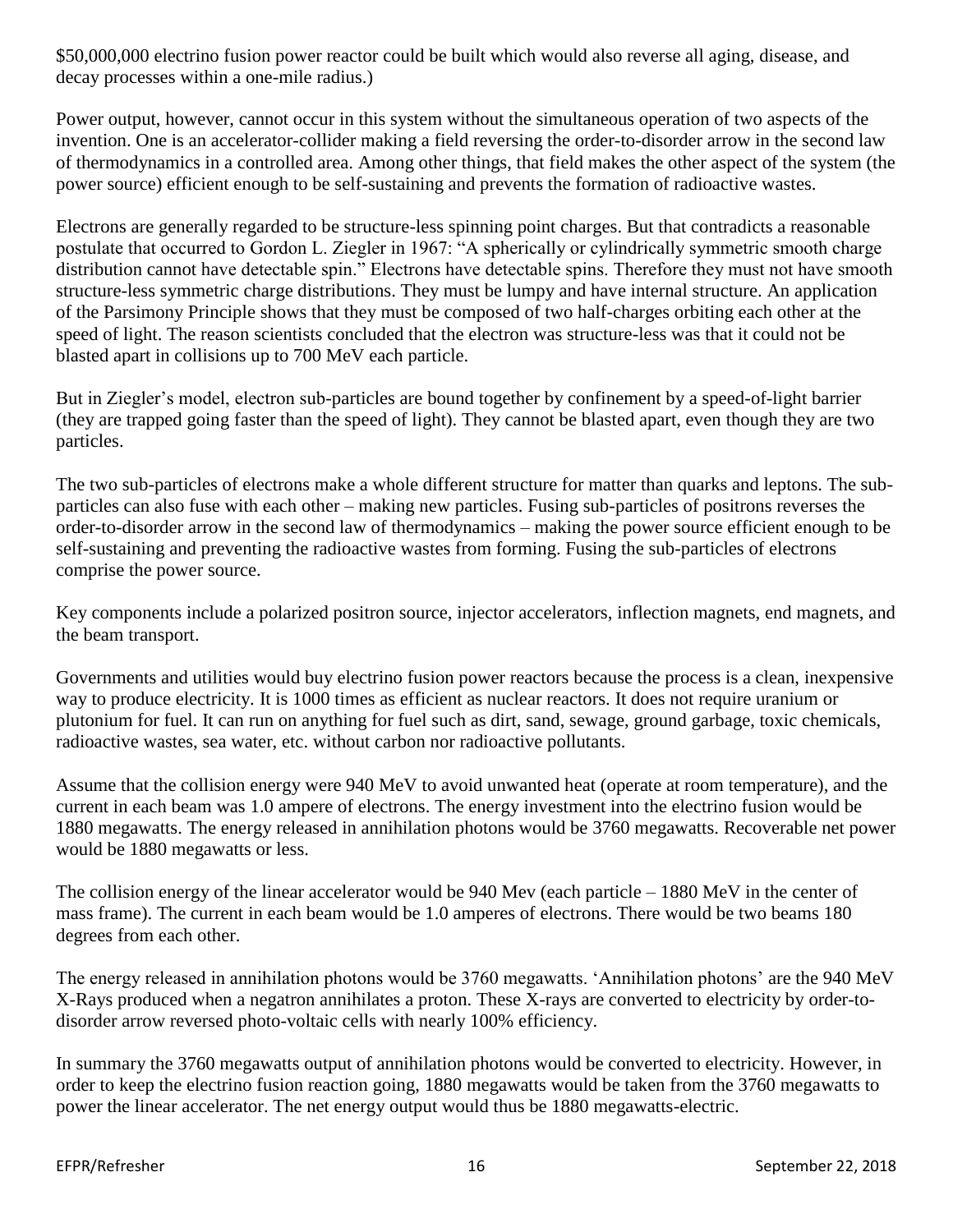\$50,000,000 electrino fusion power reactor could be built which would also reverse all aging, disease, and decay processes within a one-mile radius.)

Power output, however, cannot occur in this system without the simultaneous operation of two aspects of the invention. One is an accelerator-collider making a field reversing the order-to-disorder arrow in the second law of thermodynamics in a controlled area. Among other things, that field makes the other aspect of the system (the power source) efficient enough to be self-sustaining and prevents the formation of radioactive wastes.

Electrons are generally regarded to be structure-less spinning point charges. But that contradicts a reasonable postulate that occurred to Gordon L. Ziegler in 1967: "A spherically or cylindrically symmetric smooth charge distribution cannot have detectable spin." Electrons have detectable spins. Therefore they must not have smooth structure-less symmetric charge distributions. They must be lumpy and have internal structure. An application of the Parsimony Principle shows that they must be composed of two half-charges orbiting each other at the speed of light. The reason scientists concluded that the electron was structure-less was that it could not be blasted apart in collisions up to 700 MeV each particle.

But in Ziegler's model, electron sub-particles are bound together by confinement by a speed-of-light barrier (they are trapped going faster than the speed of light). They cannot be blasted apart, even though they are two particles.

The two sub-particles of electrons make a whole different structure for matter than quarks and leptons. The subparticles can also fuse with each other – making new particles. Fusing sub-particles of positrons reverses the order-to-disorder arrow in the second law of thermodynamics – making the power source efficient enough to be self-sustaining and preventing the radioactive wastes from forming. Fusing the sub-particles of electrons comprise the power source.

Key components include a polarized positron source, injector accelerators, inflection magnets, end magnets, and the beam transport.

Governments and utilities would buy electrino fusion power reactors because the process is a clean, inexpensive way to produce electricity. It is 1000 times as efficient as nuclear reactors. It does not require uranium or plutonium for fuel. It can run on anything for fuel such as dirt, sand, sewage, ground garbage, toxic chemicals, radioactive wastes, sea water, etc. without carbon nor radioactive pollutants.

Assume that the collision energy were 940 MeV to avoid unwanted heat (operate at room temperature), and the current in each beam was 1.0 ampere of electrons. The energy investment into the electrino fusion would be 1880 megawatts. The energy released in annihilation photons would be 3760 megawatts. Recoverable net power would be 1880 megawatts or less.

The collision energy of the linear accelerator would be 940 Mev (each particle – 1880 MeV in the center of mass frame). The current in each beam would be 1.0 amperes of electrons. There would be two beams 180 degrees from each other.

The energy released in annihilation photons would be 3760 megawatts. 'Annihilation photons' are the 940 MeV X-Rays produced when a negatron annihilates a proton. These X-rays are converted to electricity by order-todisorder arrow reversed photo-voltaic cells with nearly 100% efficiency.

In summary the 3760 megawatts output of annihilation photons would be converted to electricity. However, in order to keep the electrino fusion reaction going, 1880 megawatts would be taken from the 3760 megawatts to power the linear accelerator. The net energy output would thus be 1880 megawatts-electric.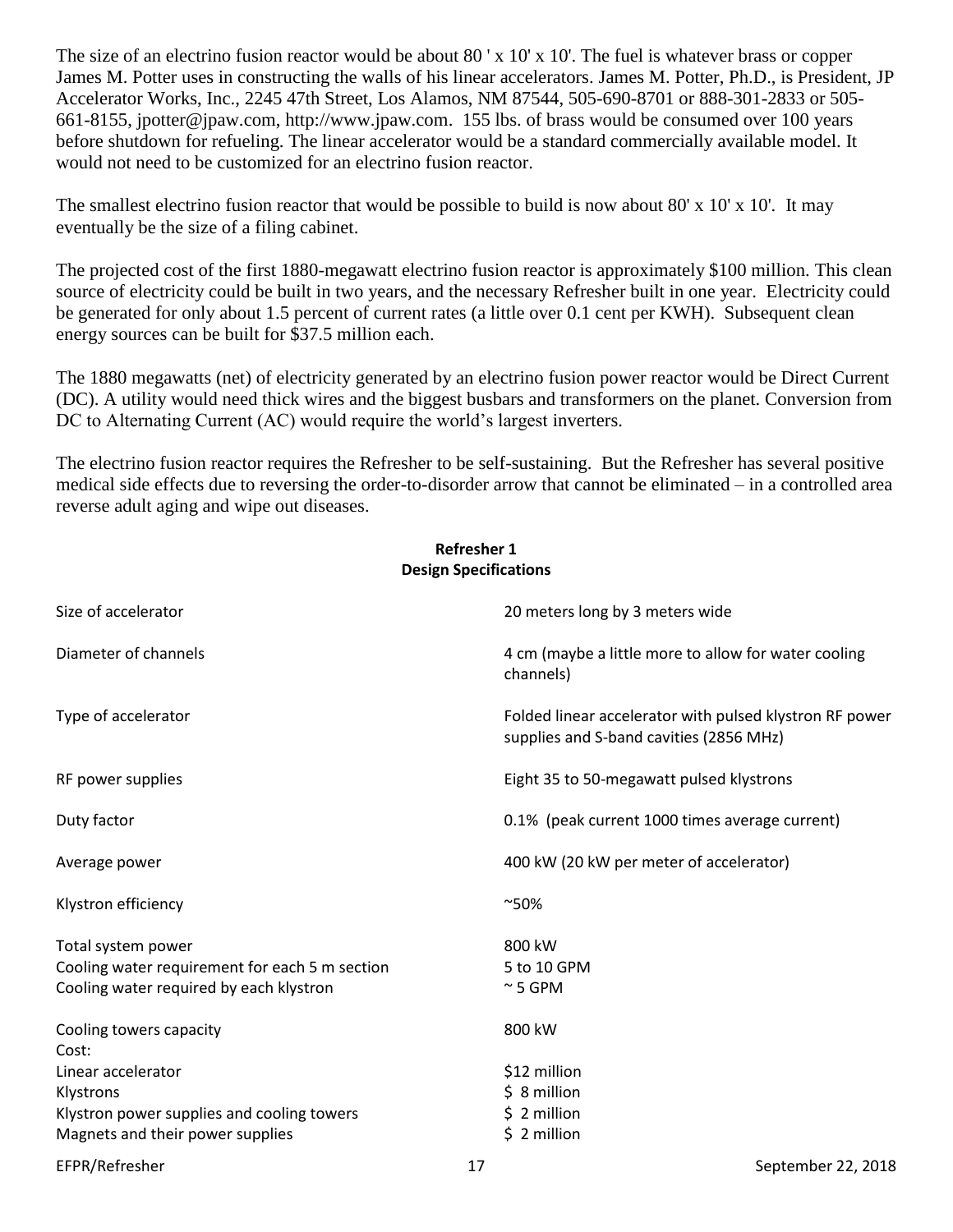The size of an electrino fusion reactor would be about 80 ' x 10' x 10'. The fuel is whatever brass or copper James M. Potter uses in constructing the walls of his linear accelerators. James M. Potter, Ph.D., is President, JP Accelerator Works, Inc., 2245 47th Street, Los Alamos, NM 87544, 505-690-8701 or 888-301-2833 or 505- 661-8155, jpotter@jpaw.com, http://www.jpaw.com. 155 lbs. of brass would be consumed over 100 years before shutdown for refueling. The linear accelerator would be a standard commercially available model. It would not need to be customized for an electrino fusion reactor.

The smallest electrino fusion reactor that would be possible to build is now about 80' x 10' x 10'. It may eventually be the size of a filing cabinet.

The projected cost of the first 1880-megawatt electrino fusion reactor is approximately \$100 million. This clean source of electricity could be built in two years, and the necessary Refresher built in one year. Electricity could be generated for only about 1.5 percent of current rates (a little over 0.1 cent per KWH). Subsequent clean energy sources can be built for \$37.5 million each.

The 1880 megawatts (net) of electricity generated by an electrino fusion power reactor would be Direct Current (DC). A utility would need thick wires and the biggest busbars and transformers on the planet. Conversion from DC to Alternating Current (AC) would require the world's largest inverters.

The electrino fusion reactor requires the Refresher to be self-sustaining. But the Refresher has several positive medical side effects due to reversing the order-to-disorder arrow that cannot be eliminated – in a controlled area reverse adult aging and wipe out diseases.

| Size of accelerator                                                                                               | 20 meters long by 3 meters wide                                                                    |  |
|-------------------------------------------------------------------------------------------------------------------|----------------------------------------------------------------------------------------------------|--|
| Diameter of channels                                                                                              | 4 cm (maybe a little more to allow for water cooling<br>channels)                                  |  |
| Type of accelerator                                                                                               | Folded linear accelerator with pulsed klystron RF power<br>supplies and S-band cavities (2856 MHz) |  |
| RF power supplies                                                                                                 | Eight 35 to 50-megawatt pulsed klystrons                                                           |  |
| Duty factor                                                                                                       | 0.1% (peak current 1000 times average current)                                                     |  |
| Average power                                                                                                     | 400 kW (20 kW per meter of accelerator)                                                            |  |
| Klystron efficiency                                                                                               | $^{\sim}50\%$                                                                                      |  |
| Total system power<br>Cooling water requirement for each 5 m section<br>Cooling water required by each klystron   | 800 kW<br>5 to 10 GPM<br>$~\sim$ 5 GPM                                                             |  |
| Cooling towers capacity<br>Cost:                                                                                  | 800 kW                                                                                             |  |
| Linear accelerator<br>Klystrons<br>Klystron power supplies and cooling towers<br>Magnets and their power supplies | \$12 million<br>$$8$ million<br>$$2$ million<br>$$2$ million                                       |  |
| EFPR/Refresher                                                                                                    | September 22, 2018<br>17                                                                           |  |

#### **Refresher 1 Design Specifications**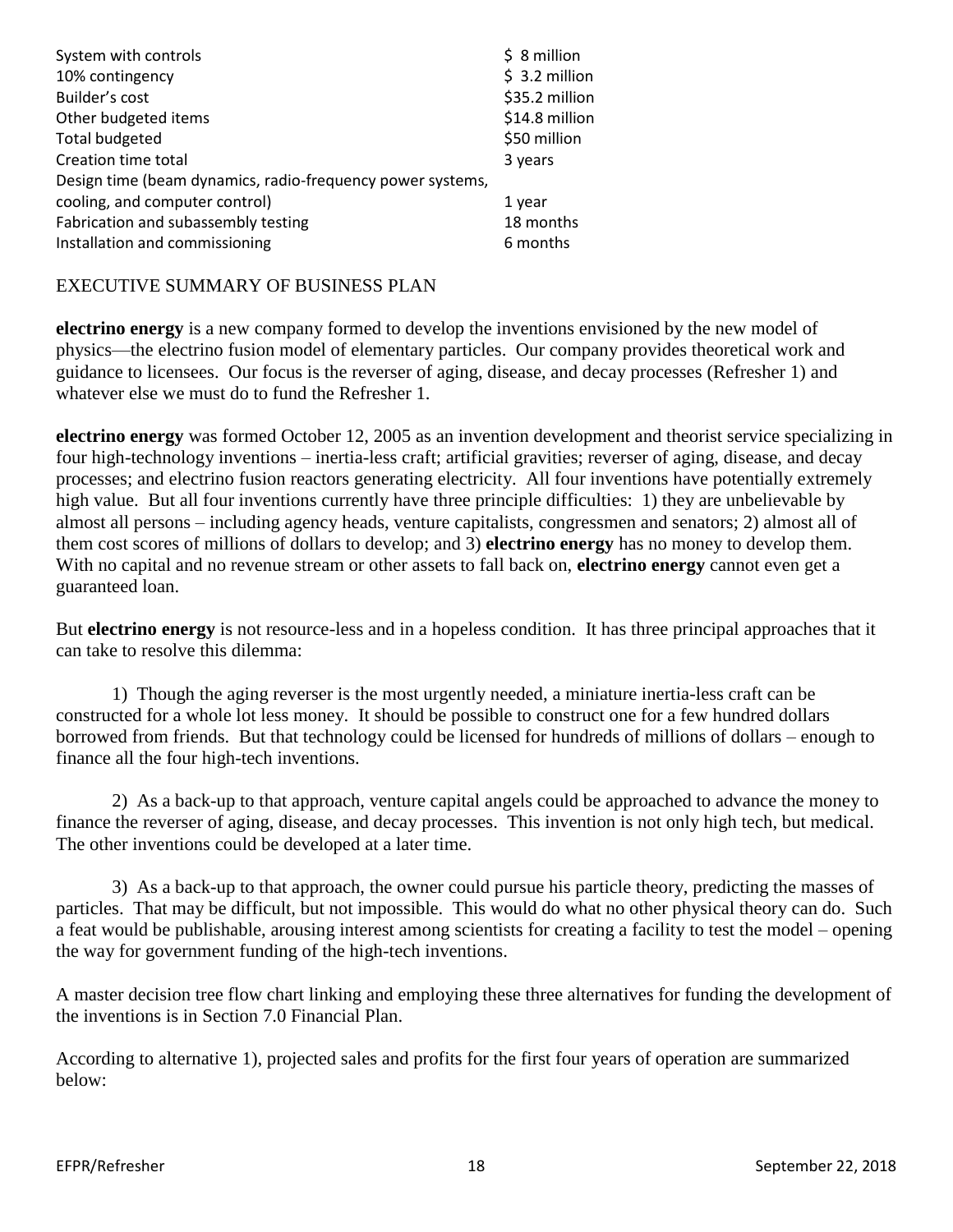| System with controls                                       | $$8$ million   |
|------------------------------------------------------------|----------------|
| 10% contingency                                            | $$3.2$ million |
| Builder's cost                                             | \$35.2 million |
| Other budgeted items                                       | \$14.8 million |
| <b>Total budgeted</b>                                      | \$50 million   |
| Creation time total                                        | 3 years        |
| Design time (beam dynamics, radio-frequency power systems, |                |
| cooling, and computer control)                             | 1 year         |
| Fabrication and subassembly testing                        | 18 months      |
| Installation and commissioning                             | 6 months       |

#### EXECUTIVE SUMMARY OF BUSINESS PLAN

**electrino energy** is a new company formed to develop the inventions envisioned by the new model of physics—the electrino fusion model of elementary particles. Our company provides theoretical work and guidance to licensees. Our focus is the reverser of aging, disease, and decay processes (Refresher 1) and whatever else we must do to fund the Refresher 1.

**electrino energy** was formed October 12, 2005 as an invention development and theorist service specializing in four high-technology inventions – inertia-less craft; artificial gravities; reverser of aging, disease, and decay processes; and electrino fusion reactors generating electricity. All four inventions have potentially extremely high value. But all four inventions currently have three principle difficulties: 1) they are unbelievable by almost all persons – including agency heads, venture capitalists, congressmen and senators; 2) almost all of them cost scores of millions of dollars to develop; and 3) **electrino energy** has no money to develop them. With no capital and no revenue stream or other assets to fall back on, **electrino energy** cannot even get a guaranteed loan.

But **electrino energy** is not resource-less and in a hopeless condition. It has three principal approaches that it can take to resolve this dilemma:

1) Though the aging reverser is the most urgently needed, a miniature inertia-less craft can be constructed for a whole lot less money. It should be possible to construct one for a few hundred dollars borrowed from friends. But that technology could be licensed for hundreds of millions of dollars – enough to finance all the four high-tech inventions.

2) As a back-up to that approach, venture capital angels could be approached to advance the money to finance the reverser of aging, disease, and decay processes. This invention is not only high tech, but medical. The other inventions could be developed at a later time.

3) As a back-up to that approach, the owner could pursue his particle theory, predicting the masses of particles. That may be difficult, but not impossible. This would do what no other physical theory can do. Such a feat would be publishable, arousing interest among scientists for creating a facility to test the model – opening the way for government funding of the high-tech inventions.

A master decision tree flow chart linking and employing these three alternatives for funding the development of the inventions is in Section 7.0 Financial Plan.

According to alternative 1), projected sales and profits for the first four years of operation are summarized below: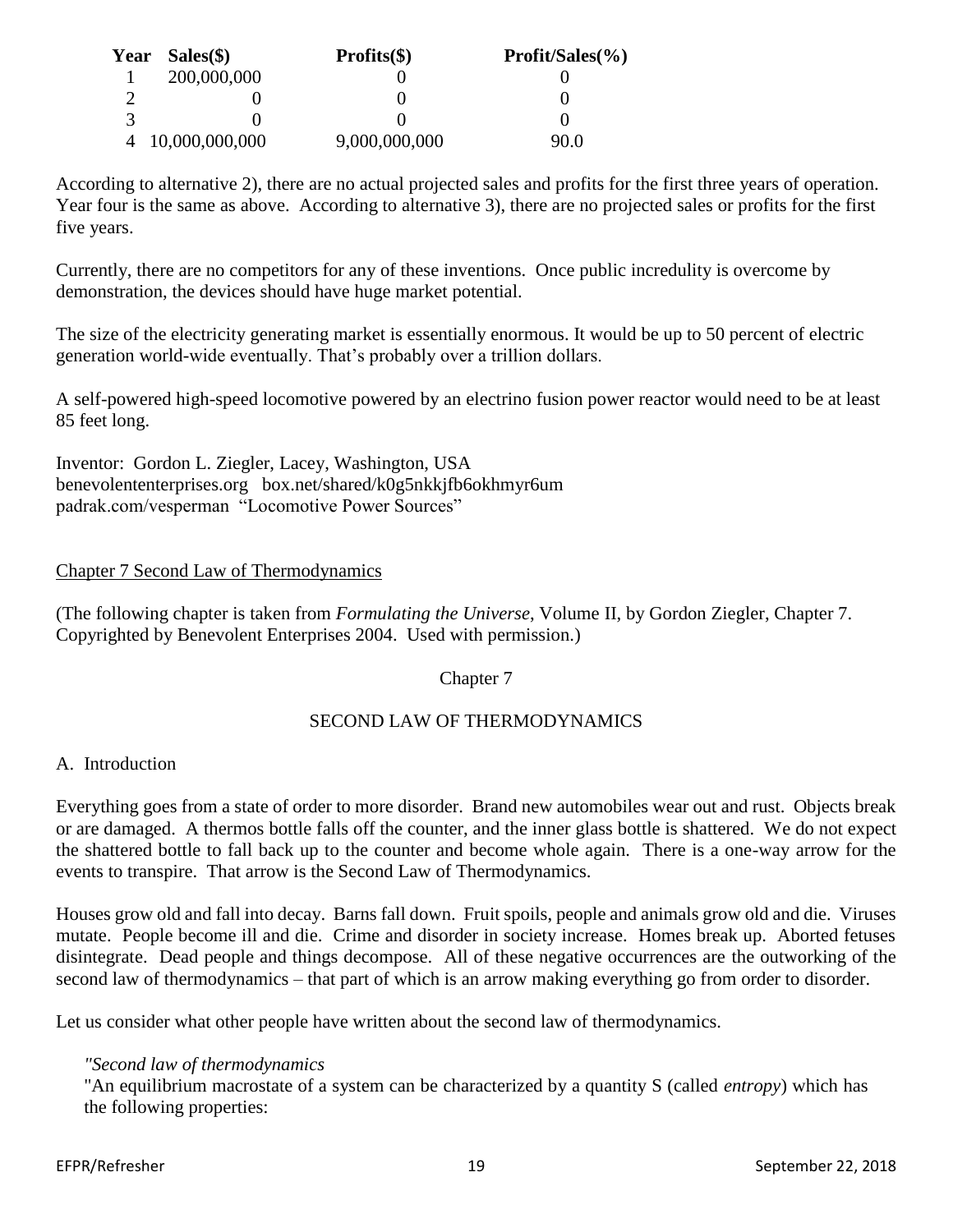| Year Sales(\$) | $Profits(\$)$ | $Profit/Sales(\%)$ |
|----------------|---------------|--------------------|
| 200,000,000    |               |                    |
|                |               |                    |
|                |               |                    |
| 10,000,000,000 | 9,000,000,000 | 90.0               |

According to alternative 2), there are no actual projected sales and profits for the first three years of operation. Year four is the same as above. According to alternative 3), there are no projected sales or profits for the first five years.

Currently, there are no competitors for any of these inventions. Once public incredulity is overcome by demonstration, the devices should have huge market potential.

The size of the electricity generating market is essentially enormous. It would be up to 50 percent of electric generation world-wide eventually. That's probably over a trillion dollars.

A self-powered high-speed locomotive powered by an electrino fusion power reactor would need to be at least 85 feet long.

Inventor: Gordon L. Ziegler, Lacey, Washington, USA benevolententerprises.org box.net/shared/k0g5nkkjfb6okhmyr6um padrak.com/vesperman "Locomotive Power Sources"

#### Chapter 7 Second Law of Thermodynamics

(The following chapter is taken from *Formulating the Universe*, Volume II, by Gordon Ziegler, Chapter 7. Copyrighted by Benevolent Enterprises 2004. Used with permission.)

Chapter 7

## SECOND LAW OF THERMODYNAMICS

#### A. Introduction

Everything goes from a state of order to more disorder. Brand new automobiles wear out and rust. Objects break or are damaged. A thermos bottle falls off the counter, and the inner glass bottle is shattered. We do not expect the shattered bottle to fall back up to the counter and become whole again. There is a one-way arrow for the events to transpire. That arrow is the Second Law of Thermodynamics.

Houses grow old and fall into decay. Barns fall down. Fruit spoils, people and animals grow old and die. Viruses mutate. People become ill and die. Crime and disorder in society increase. Homes break up. Aborted fetuses disintegrate. Dead people and things decompose. All of these negative occurrences are the outworking of the second law of thermodynamics – that part of which is an arrow making everything go from order to disorder.

Let us consider what other people have written about the second law of thermodynamics.

## *"Second law of thermodynamics*

"An equilibrium macrostate of a system can be characterized by a quantity S (called *entropy*) which has the following properties: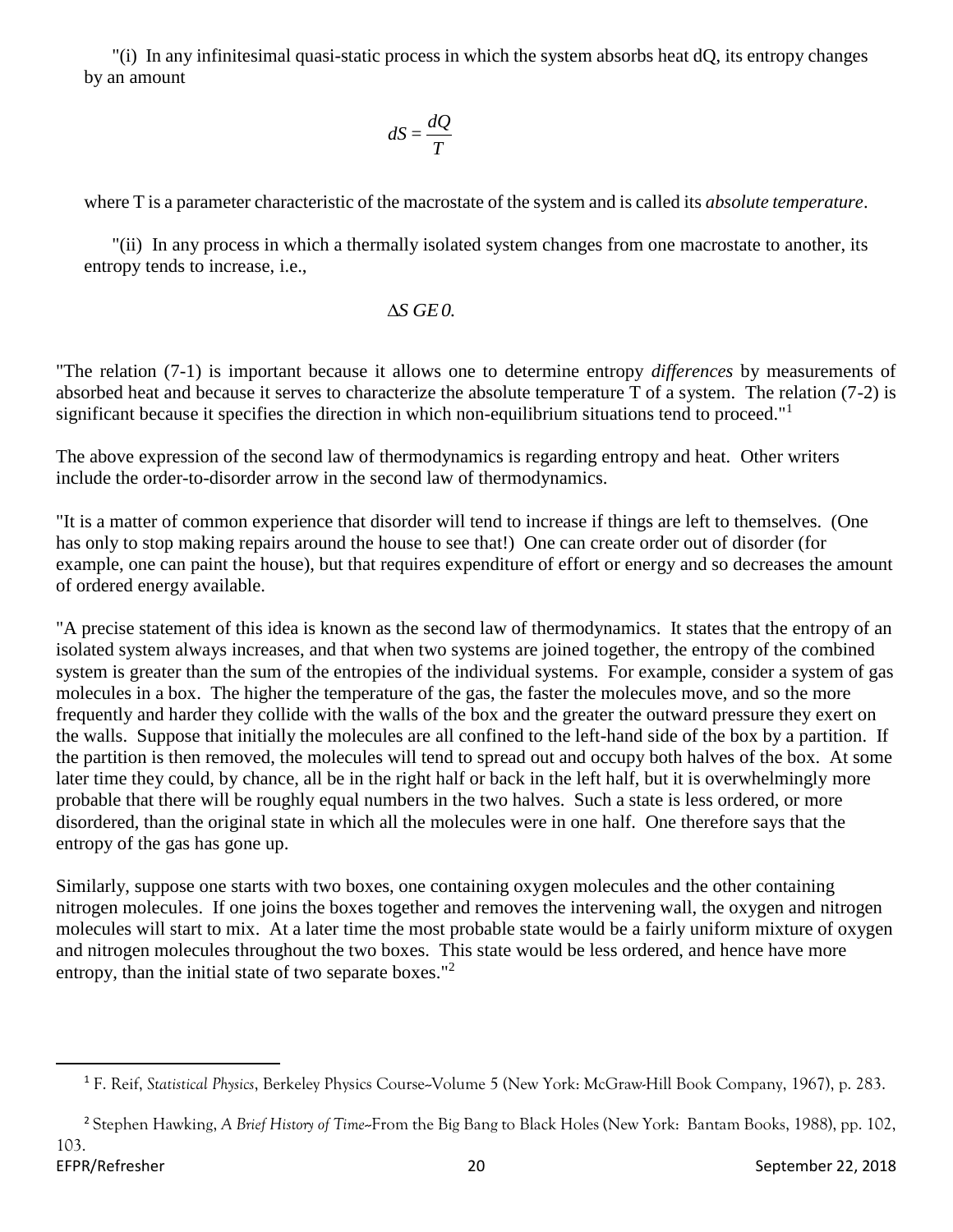"(i) In any infinitesimal quasi-static process in which the system absorbs heat dQ, its entropy changes by an amount

$$
dS = \frac{dQ}{T}
$$

where T is a parameter characteristic of the macrostate of the system and is called its *absolute temperature*.

"(ii) In any process in which a thermally isolated system changes from one macrostate to another, its entropy tends to increase, i.e.,

#### *S GE0.*

"The relation (7-1) is important because it allows one to determine entropy *differences* by measurements of absorbed heat and because it serves to characterize the absolute temperature T of a system. The relation (7-2) is significant because it specifies the direction in which non-equilibrium situations tend to proceed."<sup>1</sup>

The above expression of the second law of thermodynamics is regarding entropy and heat. Other writers include the order-to-disorder arrow in the second law of thermodynamics.

"It is a matter of common experience that disorder will tend to increase if things are left to themselves. (One has only to stop making repairs around the house to see that!) One can create order out of disorder (for example, one can paint the house), but that requires expenditure of effort or energy and so decreases the amount of ordered energy available.

"A precise statement of this idea is known as the second law of thermodynamics. It states that the entropy of an isolated system always increases, and that when two systems are joined together, the entropy of the combined system is greater than the sum of the entropies of the individual systems. For example, consider a system of gas molecules in a box. The higher the temperature of the gas, the faster the molecules move, and so the more frequently and harder they collide with the walls of the box and the greater the outward pressure they exert on the walls. Suppose that initially the molecules are all confined to the left-hand side of the box by a partition. If the partition is then removed, the molecules will tend to spread out and occupy both halves of the box. At some later time they could, by chance, all be in the right half or back in the left half, but it is overwhelmingly more probable that there will be roughly equal numbers in the two halves. Such a state is less ordered, or more disordered, than the original state in which all the molecules were in one half. One therefore says that the entropy of the gas has gone up.

Similarly, suppose one starts with two boxes, one containing oxygen molecules and the other containing nitrogen molecules. If one joins the boxes together and removes the intervening wall, the oxygen and nitrogen molecules will start to mix. At a later time the most probable state would be a fairly uniform mixture of oxygen and nitrogen molecules throughout the two boxes. This state would be less ordered, and hence have more entropy, than the initial state of two separate boxes."<sup>2</sup>

 $\overline{a}$ 

<sup>&</sup>lt;sup>1</sup> F. Reif, *Statistical Physics*, Berkeley Physics Course-Volume 5 (New York: McGraw-Hill Book Company, 1967), p. 283.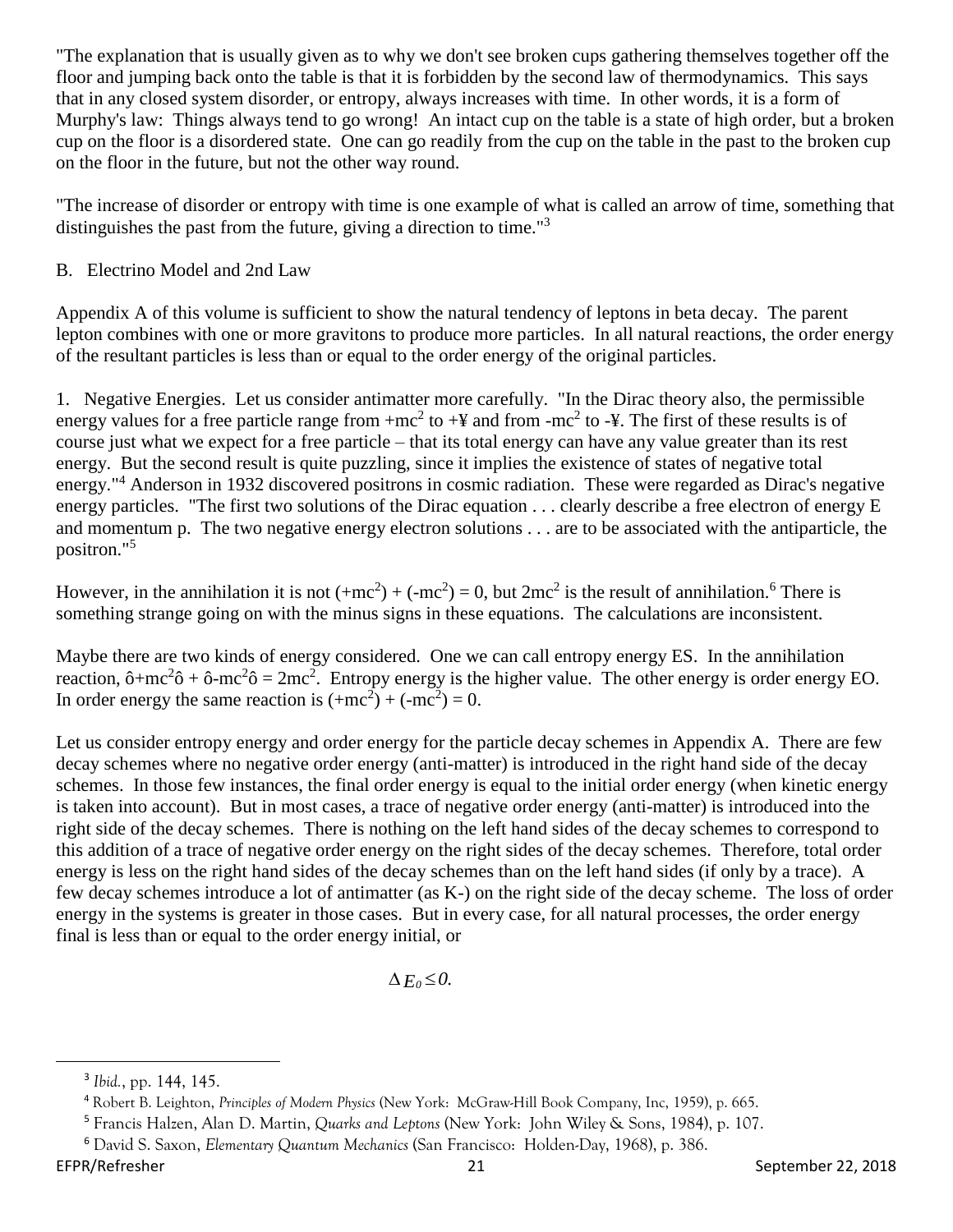"The explanation that is usually given as to why we don't see broken cups gathering themselves together off the floor and jumping back onto the table is that it is forbidden by the second law of thermodynamics. This says that in any closed system disorder, or entropy, always increases with time. In other words, it is a form of Murphy's law: Things always tend to go wrong! An intact cup on the table is a state of high order, but a broken cup on the floor is a disordered state. One can go readily from the cup on the table in the past to the broken cup on the floor in the future, but not the other way round.

"The increase of disorder or entropy with time is one example of what is called an arrow of time, something that distinguishes the past from the future, giving a direction to time."<sup>3</sup>

B. Electrino Model and 2nd Law

Appendix A of this volume is sufficient to show the natural tendency of leptons in beta decay. The parent lepton combines with one or more gravitons to produce more particles. In all natural reactions, the order energy of the resultant particles is less than or equal to the order energy of the original particles.

1. Negative Energies. Let us consider antimatter more carefully. "In the Dirac theory also, the permissible energy values for a free particle range from  $+mc^2$  to  $+$ ¥ and from  $-mc^2$  to  $-$ ¥. The first of these results is of course just what we expect for a free particle – that its total energy can have any value greater than its rest energy. But the second result is quite puzzling, since it implies the existence of states of negative total energy."<sup>4</sup> Anderson in 1932 discovered positrons in cosmic radiation. These were regarded as Dirac's negative energy particles. "The first two solutions of the Dirac equation . . . clearly describe a free electron of energy E and momentum p. The two negative energy electron solutions . . . are to be associated with the antiparticle, the positron."<sup>5</sup>

However, in the annihilation it is not  $(+mc^2) + (-mc^2) = 0$ , but  $2mc^2$  is the result of annihilation.<sup>6</sup> There is something strange going on with the minus signs in these equations. The calculations are inconsistent.

Maybe there are two kinds of energy considered. One we can call entropy energy ES. In the annihilation reaction,  $\hat{o} + mc^2 \hat{o} + \hat{o} - mc^2 \hat{o} = 2mc^2$ . Entropy energy is the higher value. The other energy is order energy EO. In order energy the same reaction is  $(+mc^2) + (-mc^2) = 0$ .

Let us consider entropy energy and order energy for the particle decay schemes in Appendix A. There are few decay schemes where no negative order energy (anti-matter) is introduced in the right hand side of the decay schemes. In those few instances, the final order energy is equal to the initial order energy (when kinetic energy is taken into account). But in most cases, a trace of negative order energy (anti-matter) is introduced into the right side of the decay schemes. There is nothing on the left hand sides of the decay schemes to correspond to this addition of a trace of negative order energy on the right sides of the decay schemes. Therefore, total order energy is less on the right hand sides of the decay schemes than on the left hand sides (if only by a trace). A few decay schemes introduce a lot of antimatter (as K-) on the right side of the decay scheme. The loss of order energy in the systems is greater in those cases. But in every case, for all natural processes, the order energy final is less than or equal to the order energy initial, or

 $\Delta E_0 \leq 0$ .

 $\overline{\phantom{a}}$ 

<sup>3</sup> *Ibid.*, pp. 144, 145.

<sup>4</sup> Robert B. Leighton, *Principles of Modern Physics* (New York: McGraw-Hill Book Company, Inc, 1959), p. 665.

<sup>5</sup> Francis Halzen, Alan D. Martin, *Quarks and Leptons* (New York: John Wiley & Sons, 1984), p. 107.

<sup>6</sup> David S. Saxon, *Elementary Quantum Mechanics* (San Francisco: Holden-Day, 1968), p. 386.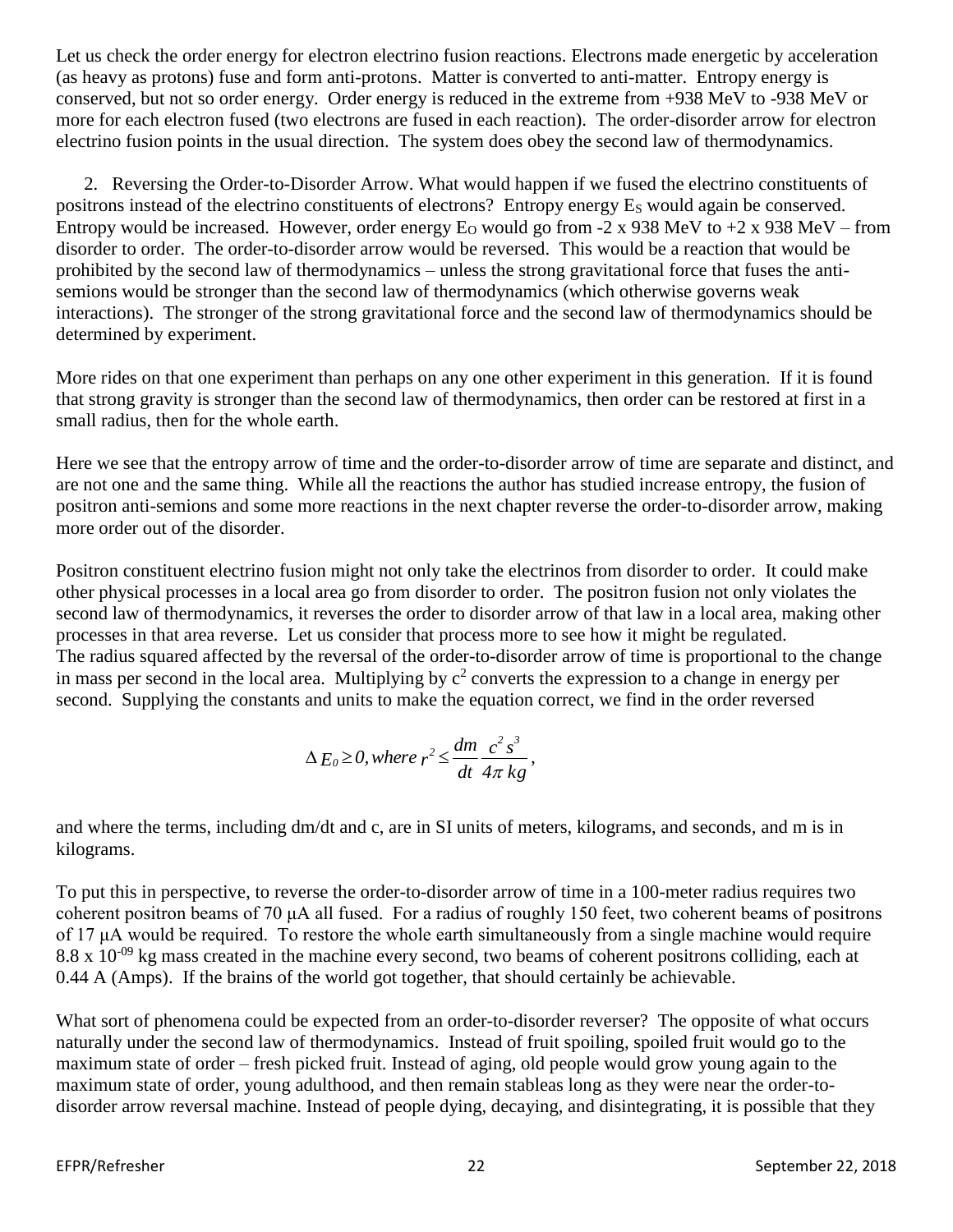Let us check the order energy for electron electrino fusion reactions. Electrons made energetic by acceleration (as heavy as protons) fuse and form anti-protons. Matter is converted to anti-matter. Entropy energy is conserved, but not so order energy. Order energy is reduced in the extreme from +938 MeV to -938 MeV or more for each electron fused (two electrons are fused in each reaction). The order-disorder arrow for electron electrino fusion points in the usual direction. The system does obey the second law of thermodynamics.

2. Reversing the Order-to-Disorder Arrow. What would happen if we fused the electrino constituents of positrons instead of the electrino constituents of electrons? Entropy energy E<sub>S</sub> would again be conserved. Entropy would be increased. However, order energy  $E_0$  would go from -2 x 938 MeV to +2 x 938 MeV – from disorder to order. The order-to-disorder arrow would be reversed. This would be a reaction that would be prohibited by the second law of thermodynamics – unless the strong gravitational force that fuses the antisemions would be stronger than the second law of thermodynamics (which otherwise governs weak interactions). The stronger of the strong gravitational force and the second law of thermodynamics should be determined by experiment.

More rides on that one experiment than perhaps on any one other experiment in this generation. If it is found that strong gravity is stronger than the second law of thermodynamics, then order can be restored at first in a small radius, then for the whole earth.

Here we see that the entropy arrow of time and the order-to-disorder arrow of time are separate and distinct, and are not one and the same thing. While all the reactions the author has studied increase entropy, the fusion of positron anti-semions and some more reactions in the next chapter reverse the order-to-disorder arrow, making more order out of the disorder.

Positron constituent electrino fusion might not only take the electrinos from disorder to order. It could make other physical processes in a local area go from disorder to order. The positron fusion not only violates the second law of thermodynamics, it reverses the order to disorder arrow of that law in a local area, making other processes in that area reverse. Let us consider that process more to see how it might be regulated. The radius squared affected by the reversal of the order-to-disorder arrow of time is proportional to the change in mass per second in the local area. Multiplying by  $c^2$  converts the expression to a change in energy per second. Supplying the constants and units to make the equation correct, we find in the order reversed

$$
\Delta E_0 \ge 0, \text{ where } r^2 \le \frac{dm}{dt} \frac{c^2 s^3}{4\pi k g},
$$

and where the terms, including dm/dt and c, are in SI units of meters, kilograms, and seconds, and m is in kilograms.

To put this in perspective, to reverse the order-to-disorder arrow of time in a 100-meter radius requires two coherent positron beams of 70 μA all fused. For a radius of roughly 150 feet, two coherent beams of positrons of 17 μA would be required. To restore the whole earth simultaneously from a single machine would require 8.8 x 10<sup>-09</sup> kg mass created in the machine every second, two beams of coherent positrons colliding, each at 0.44 A (Amps). If the brains of the world got together, that should certainly be achievable.

What sort of phenomena could be expected from an order-to-disorder reverser? The opposite of what occurs naturally under the second law of thermodynamics. Instead of fruit spoiling, spoiled fruit would go to the maximum state of order – fresh picked fruit. Instead of aging, old people would grow young again to the maximum state of order, young adulthood, and then remain stableas long as they were near the order-todisorder arrow reversal machine. Instead of people dying, decaying, and disintegrating, it is possible that they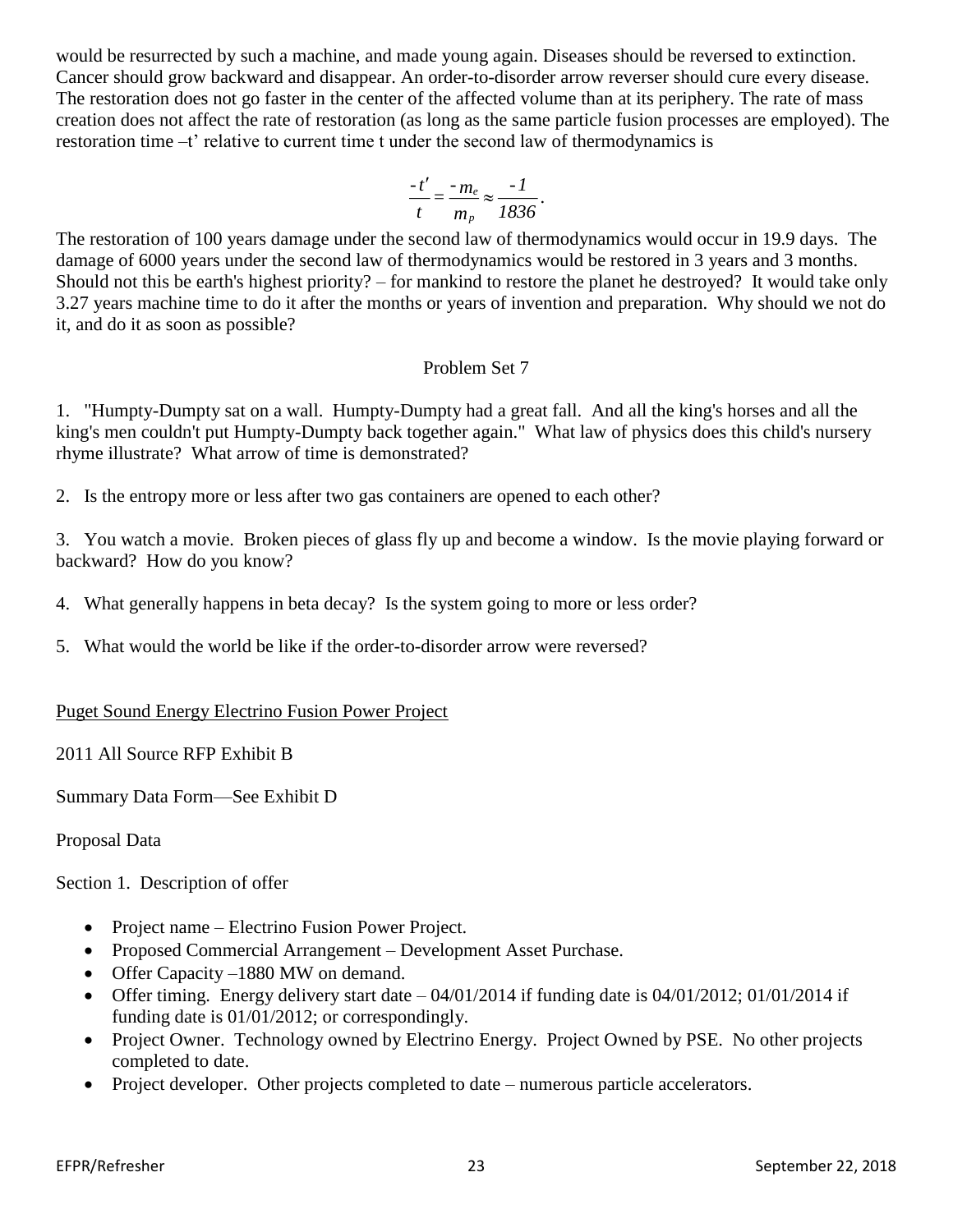would be resurrected by such a machine, and made young again. Diseases should be reversed to extinction. Cancer should grow backward and disappear. An order-to-disorder arrow reverser should cure every disease. The restoration does not go faster in the center of the affected volume than at its periphery. The rate of mass creation does not affect the rate of restoration (as long as the same particle fusion processes are employed). The restoration time –t' relative to current time t under the second law of thermodynamics is

$$
\frac{e^{-t'}}{t} = \frac{-m_e}{m_p} \approx \frac{-1}{1836}.
$$

The restoration of 100 years damage under the second law of thermodynamics would occur in 19.9 days. The damage of 6000 years under the second law of thermodynamics would be restored in 3 years and 3 months. Should not this be earth's highest priority? – for mankind to restore the planet he destroyed? It would take only 3.27 years machine time to do it after the months or years of invention and preparation. Why should we not do it, and do it as soon as possible?

## Problem Set 7

1. "Humpty-Dumpty sat on a wall. Humpty-Dumpty had a great fall. And all the king's horses and all the king's men couldn't put Humpty-Dumpty back together again." What law of physics does this child's nursery rhyme illustrate? What arrow of time is demonstrated?

2. Is the entropy more or less after two gas containers are opened to each other?

3. You watch a movie. Broken pieces of glass fly up and become a window. Is the movie playing forward or backward? How do you know?

4. What generally happens in beta decay? Is the system going to more or less order?

5. What would the world be like if the order-to-disorder arrow were reversed?

#### Puget Sound Energy Electrino Fusion Power Project

2011 All Source RFP Exhibit B

Summary Data Form—See Exhibit D

Proposal Data

Section 1. Description of offer

- Project name Electrino Fusion Power Project.
- Proposed Commercial Arrangement Development Asset Purchase.
- Offer Capacity –1880 MW on demand.
- Offer timing. Energy delivery start date  $-04/01/2014$  if funding date is  $04/01/2012$ ;  $01/01/2014$  if funding date is 01/01/2012; or correspondingly.
- Project Owner. Technology owned by Electrino Energy. Project Owned by PSE. No other projects completed to date.
- Project developer. Other projects completed to date numerous particle accelerators.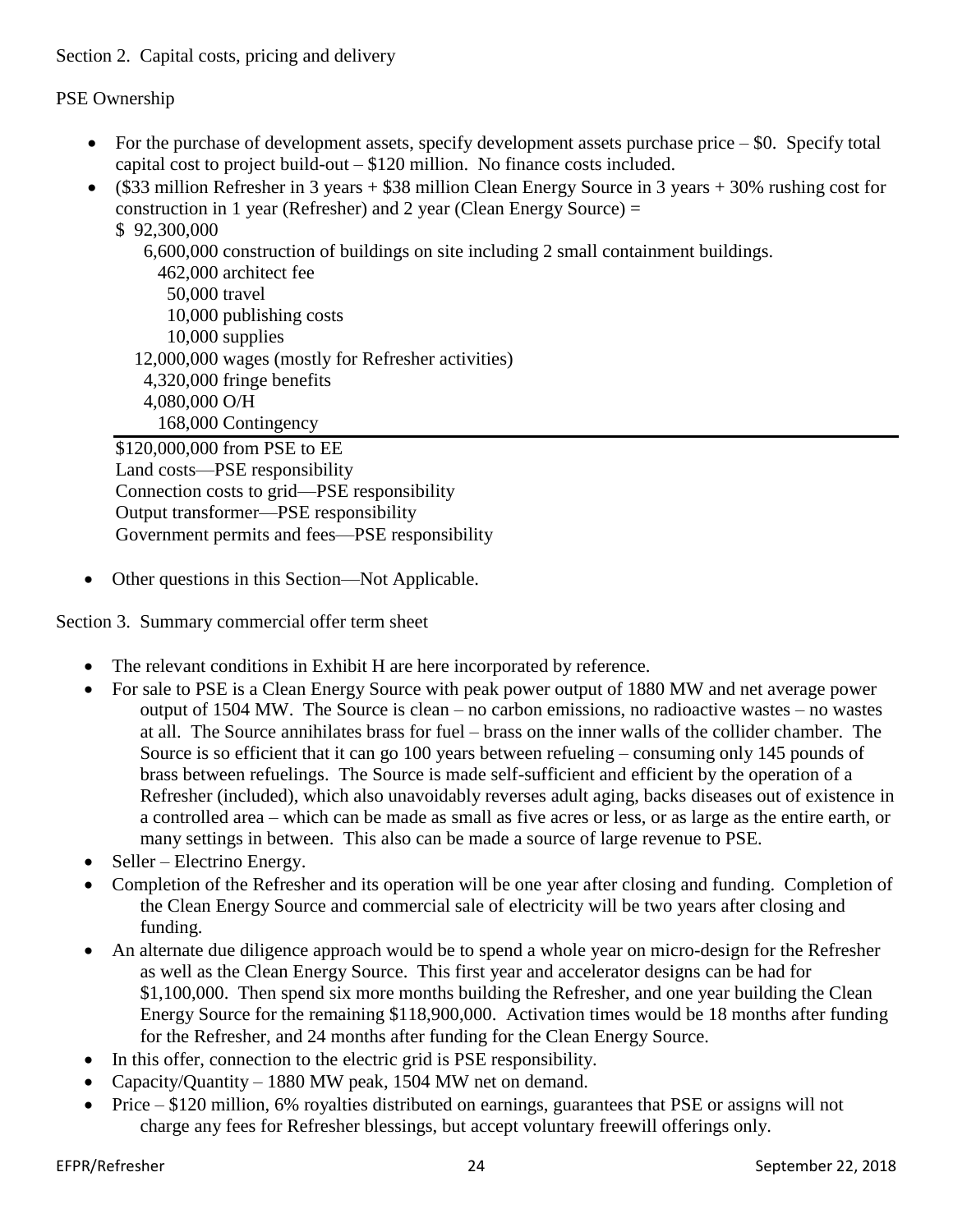Section 2. Capital costs, pricing and delivery

PSE Ownership

- For the purchase of development assets, specify development assets purchase price  $-$  \$0. Specify total capital cost to project build-out – \$120 million. No finance costs included.
- (\$33 million Refresher in 3 years + \$38 million Clean Energy Source in 3 years + 30% rushing cost for construction in 1 year (Refresher) and 2 year (Clean Energy Source) =

\$ 92,300,000

6,600,000 construction of buildings on site including 2 small containment buildings.

462,000 architect fee

50,000 travel

10,000 publishing costs

10,000 supplies

12,000,000 wages (mostly for Refresher activities)

4,320,000 fringe benefits

4,080,000 O/H

168,000 Contingency

\$120,000,000 from PSE to EE Land costs—PSE responsibility Connection costs to grid—PSE responsibility Output transformer—PSE responsibility Government permits and fees—PSE responsibility

• Other questions in this Section—Not Applicable.

Section 3. Summary commercial offer term sheet

- The relevant conditions in Exhibit H are here incorporated by reference.
- For sale to PSE is a Clean Energy Source with peak power output of 1880 MW and net average power output of 1504 MW. The Source is clean – no carbon emissions, no radioactive wastes – no wastes at all. The Source annihilates brass for fuel – brass on the inner walls of the collider chamber. The Source is so efficient that it can go 100 years between refueling – consuming only 145 pounds of brass between refuelings. The Source is made self-sufficient and efficient by the operation of a Refresher (included), which also unavoidably reverses adult aging, backs diseases out of existence in a controlled area – which can be made as small as five acres or less, or as large as the entire earth, or many settings in between. This also can be made a source of large revenue to PSE.
- Seller Electrino Energy.
- Completion of the Refresher and its operation will be one year after closing and funding. Completion of the Clean Energy Source and commercial sale of electricity will be two years after closing and funding.
- An alternate due diligence approach would be to spend a whole year on micro-design for the Refresher as well as the Clean Energy Source. This first year and accelerator designs can be had for \$1,100,000. Then spend six more months building the Refresher, and one year building the Clean Energy Source for the remaining \$118,900,000. Activation times would be 18 months after funding for the Refresher, and 24 months after funding for the Clean Energy Source.
- In this offer, connection to the electric grid is PSE responsibility.
- Capacity/Quantity 1880 MW peak, 1504 MW net on demand.
- Price \$120 million, 6% royalties distributed on earnings, guarantees that PSE or assigns will not charge any fees for Refresher blessings, but accept voluntary freewill offerings only.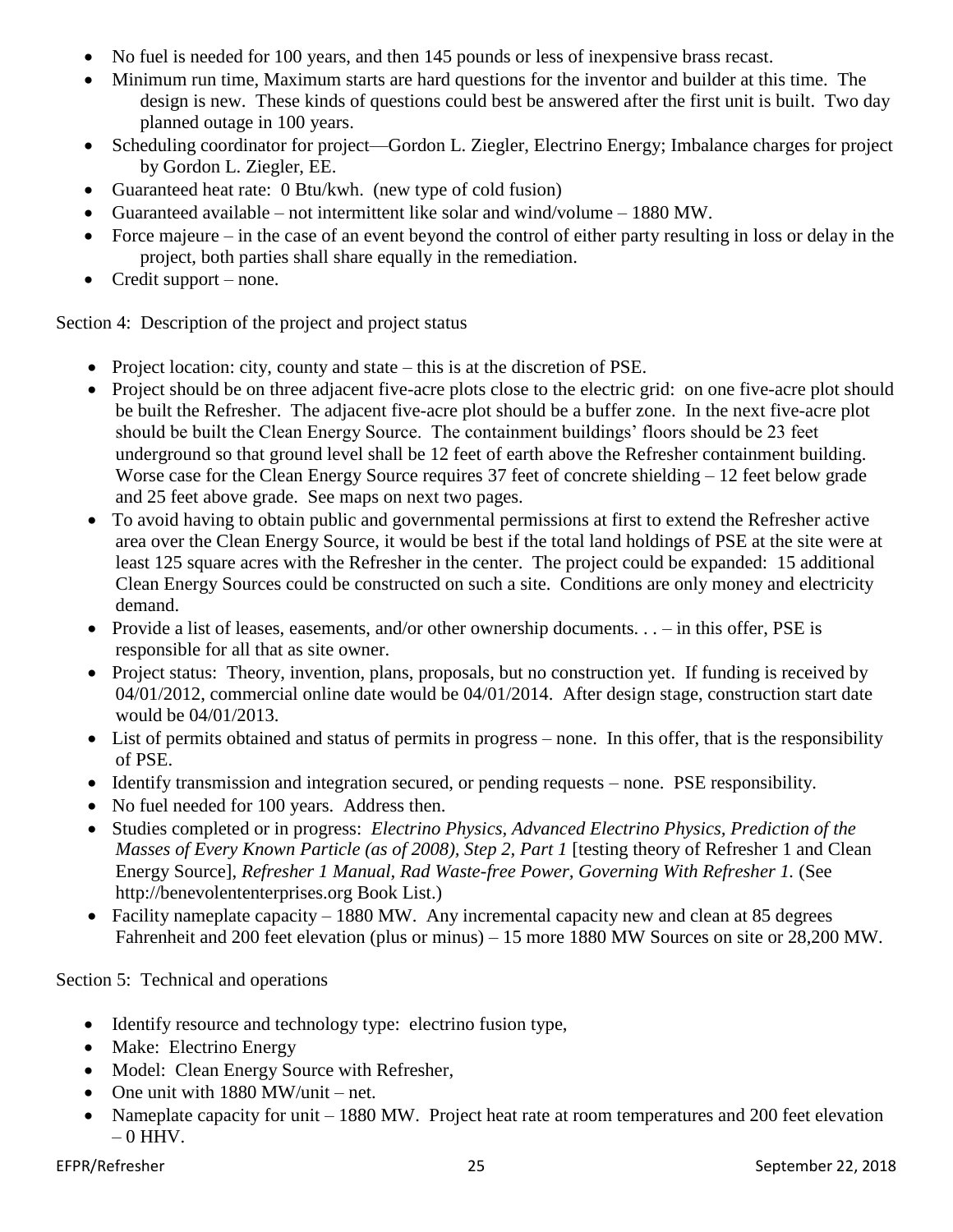- No fuel is needed for 100 years, and then 145 pounds or less of inexpensive brass recast.
- Minimum run time, Maximum starts are hard questions for the inventor and builder at this time. The design is new. These kinds of questions could best be answered after the first unit is built. Two day planned outage in 100 years.
- Scheduling coordinator for project—Gordon L. Ziegler, Electrino Energy; Imbalance charges for project by Gordon L. Ziegler, EE.
- Guaranteed heat rate: 0 Btu/kwh. (new type of cold fusion)
- Guaranteed available not intermittent like solar and wind/volume 1880 MW.
- Force majeure in the case of an event beyond the control of either party resulting in loss or delay in the project, both parties shall share equally in the remediation.
- Credit support none.

Section 4: Description of the project and project status

- Project location: city, county and state this is at the discretion of PSE.
- Project should be on three adjacent five-acre plots close to the electric grid: on one five-acre plot should be built the Refresher. The adjacent five-acre plot should be a buffer zone. In the next five-acre plot should be built the Clean Energy Source. The containment buildings' floors should be 23 feet underground so that ground level shall be 12 feet of earth above the Refresher containment building. Worse case for the Clean Energy Source requires 37 feet of concrete shielding – 12 feet below grade and 25 feet above grade. See maps on next two pages.
- To avoid having to obtain public and governmental permissions at first to extend the Refresher active area over the Clean Energy Source, it would be best if the total land holdings of PSE at the site were at least 125 square acres with the Refresher in the center. The project could be expanded: 15 additional Clean Energy Sources could be constructed on such a site. Conditions are only money and electricity demand.
- Provide a list of leases, easements, and/or other ownership documents.  $\ldots$  in this offer, PSE is responsible for all that as site owner.
- Project status: Theory, invention, plans, proposals, but no construction yet. If funding is received by 04/01/2012, commercial online date would be 04/01/2014. After design stage, construction start date would be 04/01/2013.
- List of permits obtained and status of permits in progress none. In this offer, that is the responsibility of PSE.
- Identify transmission and integration secured, or pending requests none. PSE responsibility.
- No fuel needed for 100 years. Address then.
- Studies completed or in progress: *Electrino Physics, Advanced Electrino Physics, Prediction of the Masses of Every Known Particle (as of 2008), Step 2, Part 1* [testing theory of Refresher 1 and Clean Energy Source], *Refresher 1 Manual, Rad Waste-free Power, Governing With Refresher 1.* (See http://benevolententerprises.org Book List.)
- Facility nameplate capacity 1880 MW. Any incremental capacity new and clean at 85 degrees Fahrenheit and 200 feet elevation (plus or minus) – 15 more 1880 MW Sources on site or 28,200 MW.

Section 5: Technical and operations

- Identify resource and technology type: electrino fusion type,
- Make: Electrino Energy
- Model: Clean Energy Source with Refresher,
- One unit with 1880 MW/unit net.
- Nameplate capacity for unit 1880 MW. Project heat rate at room temperatures and 200 feet elevation  $-0$  HHV.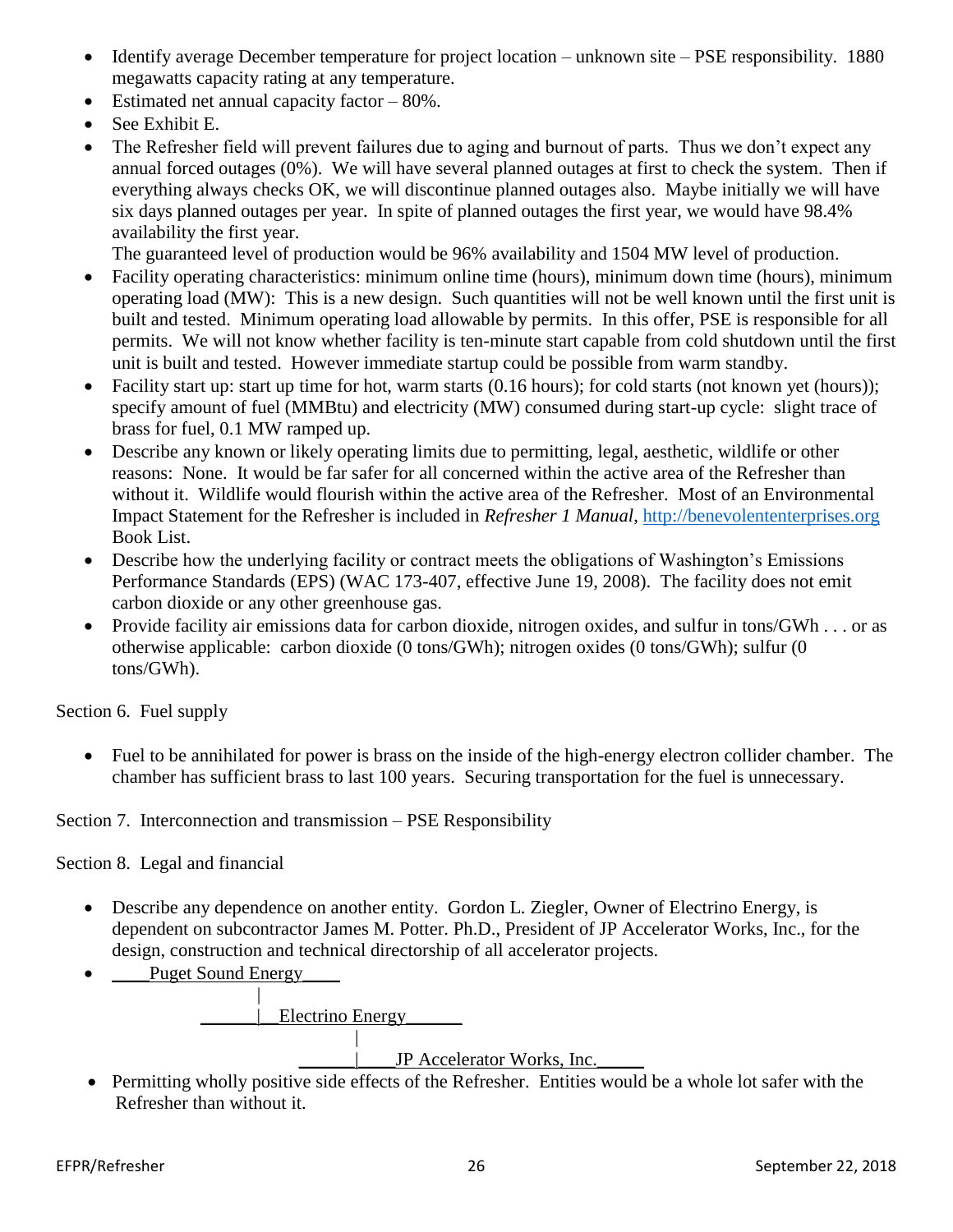- Identify average December temperature for project location unknown site PSE responsibility. 1880 megawatts capacity rating at any temperature.
- Estimated net annual capacity factor  $-80\%$ .
- See Exhibit E.
- The Refresher field will prevent failures due to aging and burnout of parts. Thus we don't expect any annual forced outages (0%). We will have several planned outages at first to check the system. Then if everything always checks OK, we will discontinue planned outages also. Maybe initially we will have six days planned outages per year. In spite of planned outages the first year, we would have 98.4% availability the first year.

The guaranteed level of production would be 96% availability and 1504 MW level of production.

- Facility operating characteristics: minimum online time (hours), minimum down time (hours), minimum operating load (MW): This is a new design. Such quantities will not be well known until the first unit is built and tested. Minimum operating load allowable by permits. In this offer, PSE is responsible for all permits. We will not know whether facility is ten-minute start capable from cold shutdown until the first unit is built and tested. However immediate startup could be possible from warm standby.
- Facility start up: start up time for hot, warm starts  $(0.16 \text{ hours})$ ; for cold starts (not known yet (hours)); specify amount of fuel (MMBtu) and electricity (MW) consumed during start-up cycle: slight trace of brass for fuel, 0.1 MW ramped up.
- Describe any known or likely operating limits due to permitting, legal, aesthetic, wildlife or other reasons: None. It would be far safer for all concerned within the active area of the Refresher than without it. Wildlife would flourish within the active area of the Refresher. Most of an Environmental Impact Statement for the Refresher is included in *Refresher 1 Manual*, [http://benevolententerprises.org](http://benevolententerprises.org/) Book List.
- Describe how the underlying facility or contract meets the obligations of Washington's Emissions Performance Standards (EPS) (WAC 173-407, effective June 19, 2008). The facility does not emit carbon dioxide or any other greenhouse gas.
- Provide facility air emissions data for carbon dioxide, nitrogen oxides, and sulfur in tons/GWh . . . or as otherwise applicable: carbon dioxide (0 tons/GWh); nitrogen oxides (0 tons/GWh); sulfur (0 tons/GWh).

Section 6. Fuel supply

 Fuel to be annihilated for power is brass on the inside of the high-energy electron collider chamber. The chamber has sufficient brass to last 100 years. Securing transportation for the fuel is unnecessary.

Section 7. Interconnection and transmission – PSE Responsibility

Section 8. Legal and financial

- Describe any dependence on another entity. Gordon L. Ziegler, Owner of Electrino Energy, is dependent on subcontractor James M. Potter. Ph.D., President of JP Accelerator Works, Inc., for the design, construction and technical directorship of all accelerator projects.
- Puget Sound Energy\_



• Permitting wholly positive side effects of the Refresher. Entities would be a whole lot safer with the Refresher than without it.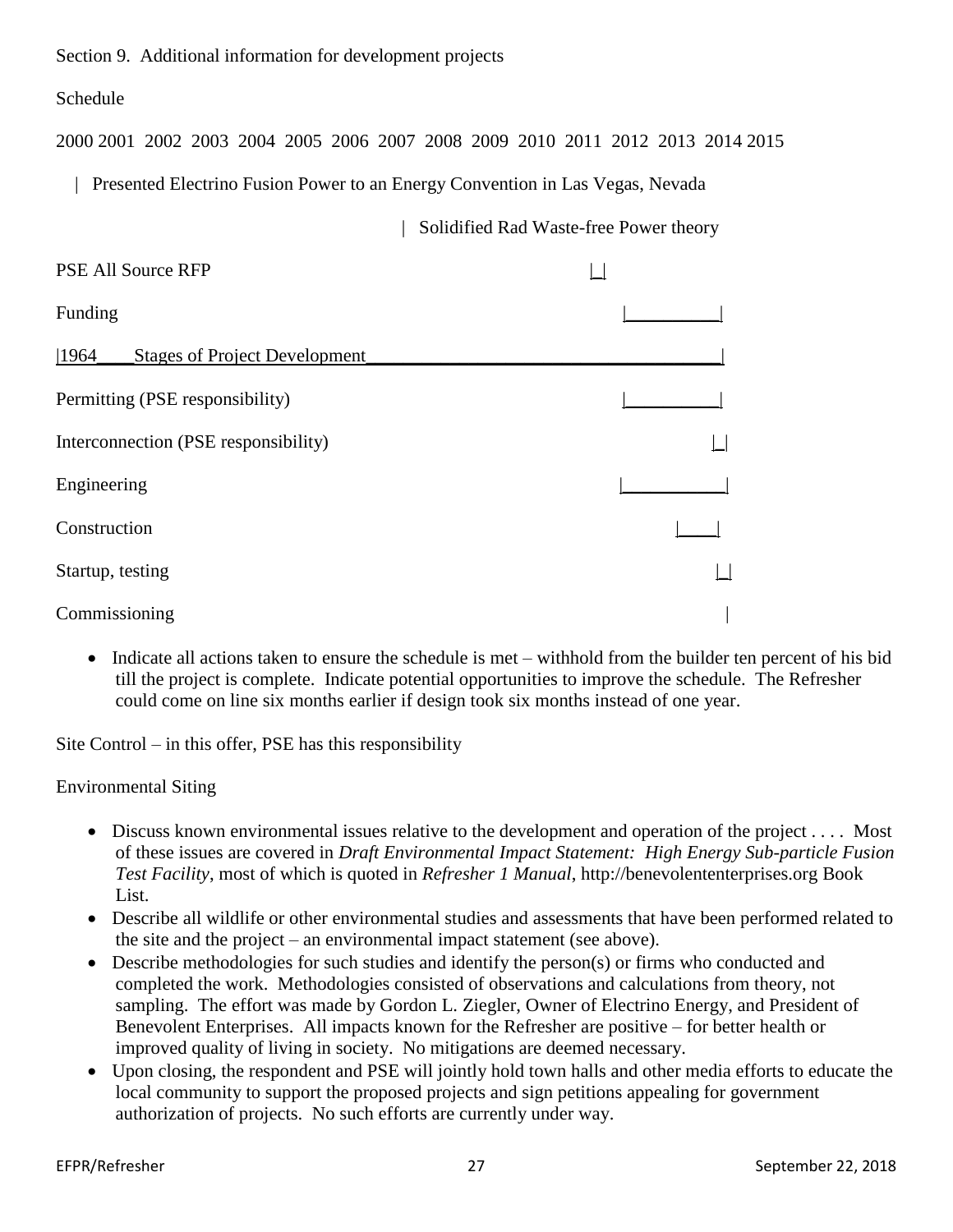Section 9. Additional information for development projects

Schedule

2000 2001 2002 2003 2004 2005 2006 2007 2008 2009 2010 2011 2012 2013 2014 2015

| Presented Electrino Fusion Power to an Energy Convention in Las Vegas, Nevada

#### | Solidified Rad Waste-free Power theory

| PSE All Source RFP                            |  |
|-----------------------------------------------|--|
| Funding                                       |  |
| 1964 <br><b>Stages of Project Development</b> |  |
| Permitting (PSE responsibility)               |  |
| Interconnection (PSE responsibility)          |  |
| Engineering                                   |  |
| Construction                                  |  |
| Startup, testing                              |  |
| Commissioning                                 |  |

• Indicate all actions taken to ensure the schedule is met – withhold from the builder ten percent of his bid till the project is complete. Indicate potential opportunities to improve the schedule. The Refresher could come on line six months earlier if design took six months instead of one year.

Site Control – in this offer, PSE has this responsibility

Environmental Siting

- Discuss known environmental issues relative to the development and operation of the project . . . . Most of these issues are covered in *Draft Environmental Impact Statement: High Energy Sub-particle Fusion Test Facility*, most of which is quoted in *Refresher 1 Manual*, http://benevolententerprises.org Book List.
- Describe all wildlife or other environmental studies and assessments that have been performed related to the site and the project – an environmental impact statement (see above).
- Describe methodologies for such studies and identify the person(s) or firms who conducted and completed the work. Methodologies consisted of observations and calculations from theory, not sampling. The effort was made by Gordon L. Ziegler, Owner of Electrino Energy, and President of Benevolent Enterprises. All impacts known for the Refresher are positive – for better health or improved quality of living in society. No mitigations are deemed necessary.
- Upon closing, the respondent and PSE will jointly hold town halls and other media efforts to educate the local community to support the proposed projects and sign petitions appealing for government authorization of projects. No such efforts are currently under way.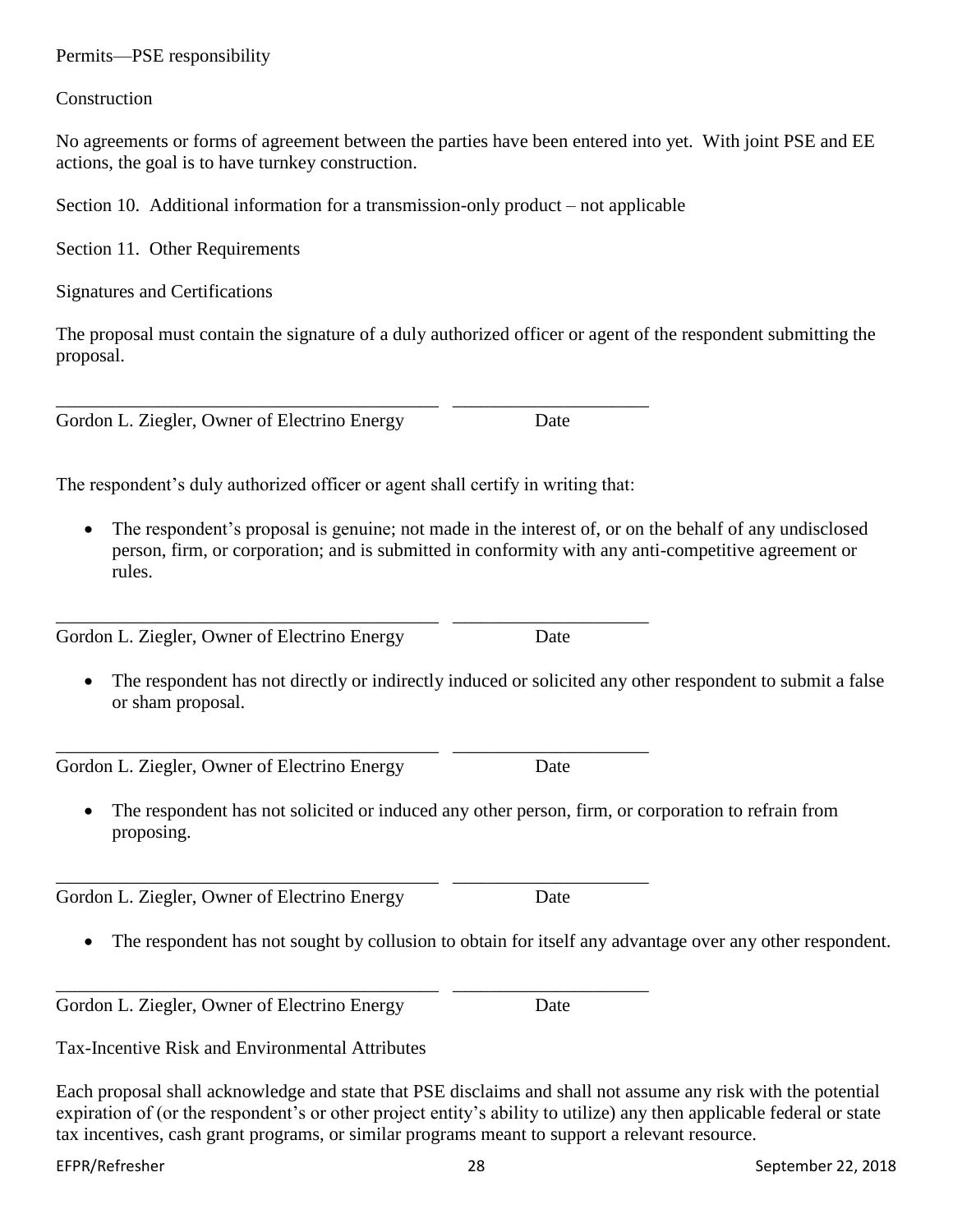Permits—PSE responsibility

**Construction** 

No agreements or forms of agreement between the parties have been entered into yet. With joint PSE and EE actions, the goal is to have turnkey construction.

Section 10. Additional information for a transmission-only product – not applicable

Section 11. Other Requirements

Signatures and Certifications

The proposal must contain the signature of a duly authorized officer or agent of the respondent submitting the proposal.

Gordon L. Ziegler, Owner of Electrino Energy Date

The respondent's duly authorized officer or agent shall certify in writing that:

\_\_\_\_\_\_\_\_\_\_\_\_\_\_\_\_\_\_\_\_\_\_\_\_\_\_\_\_\_\_\_\_\_\_\_\_\_\_\_\_\_ \_\_\_\_\_\_\_\_\_\_\_\_\_\_\_\_\_\_\_\_\_

\_\_\_\_\_\_\_\_\_\_\_\_\_\_\_\_\_\_\_\_\_\_\_\_\_\_\_\_\_\_\_\_\_\_\_\_\_\_\_\_\_ \_\_\_\_\_\_\_\_\_\_\_\_\_\_\_\_\_\_\_\_\_

\_\_\_\_\_\_\_\_\_\_\_\_\_\_\_\_\_\_\_\_\_\_\_\_\_\_\_\_\_\_\_\_\_\_\_\_\_\_\_\_\_ \_\_\_\_\_\_\_\_\_\_\_\_\_\_\_\_\_\_\_\_\_

\_\_\_\_\_\_\_\_\_\_\_\_\_\_\_\_\_\_\_\_\_\_\_\_\_\_\_\_\_\_\_\_\_\_\_\_\_\_\_\_\_ \_\_\_\_\_\_\_\_\_\_\_\_\_\_\_\_\_\_\_\_\_

 The respondent's proposal is genuine; not made in the interest of, or on the behalf of any undisclosed person, firm, or corporation; and is submitted in conformity with any anti-competitive agreement or rules.

\_\_\_\_\_\_\_\_\_\_\_\_\_\_\_\_\_\_\_\_\_\_\_\_\_\_\_\_\_\_\_\_\_\_\_\_\_\_\_\_\_ \_\_\_\_\_\_\_\_\_\_\_\_\_\_\_\_\_\_\_\_\_ Gordon L. Ziegler, Owner of Electrino Energy Date

 The respondent has not directly or indirectly induced or solicited any other respondent to submit a false or sham proposal.

Gordon L. Ziegler, Owner of Electrino Energy Date

 The respondent has not solicited or induced any other person, firm, or corporation to refrain from proposing.

Gordon L. Ziegler, Owner of Electrino Energy Date

The respondent has not sought by collusion to obtain for itself any advantage over any other respondent.

Gordon L. Ziegler, Owner of Electrino Energy Date

Tax-Incentive Risk and Environmental Attributes

Each proposal shall acknowledge and state that PSE disclaims and shall not assume any risk with the potential expiration of (or the respondent's or other project entity's ability to utilize) any then applicable federal or state tax incentives, cash grant programs, or similar programs meant to support a relevant resource.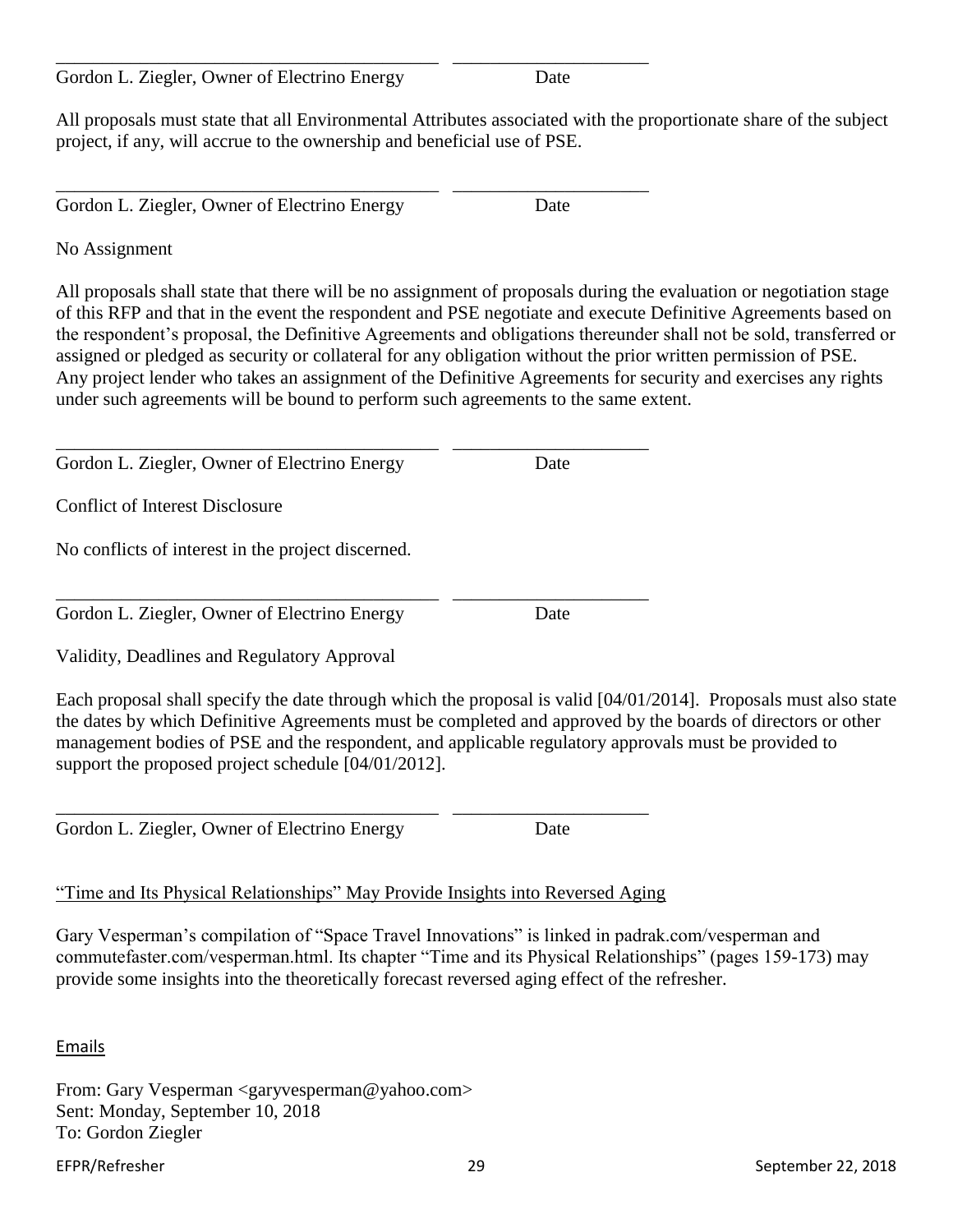Gordon L. Ziegler, Owner of Electrino Energy Date

All proposals must state that all Environmental Attributes associated with the proportionate share of the subject project, if any, will accrue to the ownership and beneficial use of PSE.

Gordon L. Ziegler, Owner of Electrino Energy Date

\_\_\_\_\_\_\_\_\_\_\_\_\_\_\_\_\_\_\_\_\_\_\_\_\_\_\_\_\_\_\_\_\_\_\_\_\_\_\_\_\_ \_\_\_\_\_\_\_\_\_\_\_\_\_\_\_\_\_\_\_\_\_

\_\_\_\_\_\_\_\_\_\_\_\_\_\_\_\_\_\_\_\_\_\_\_\_\_\_\_\_\_\_\_\_\_\_\_\_\_\_\_\_\_ \_\_\_\_\_\_\_\_\_\_\_\_\_\_\_\_\_\_\_\_\_

No Assignment

All proposals shall state that there will be no assignment of proposals during the evaluation or negotiation stage of this RFP and that in the event the respondent and PSE negotiate and execute Definitive Agreements based on the respondent's proposal, the Definitive Agreements and obligations thereunder shall not be sold, transferred or assigned or pledged as security or collateral for any obligation without the prior written permission of PSE. Any project lender who takes an assignment of the Definitive Agreements for security and exercises any rights under such agreements will be bound to perform such agreements to the same extent.

| Gordon L. Ziegler, Owner of Electrino Energy       | Date |
|----------------------------------------------------|------|
| Conflict of Interest Disclosure                    |      |
| No conflicts of interest in the project discerned. |      |
|                                                    |      |
| Gordon L. Ziegler, Owner of Electrino Energy       | Date |
| Validity, Deadlines and Regulatory Approval        |      |

Each proposal shall specify the date through which the proposal is valid [04/01/2014]. Proposals must also state the dates by which Definitive Agreements must be completed and approved by the boards of directors or other management bodies of PSE and the respondent, and applicable regulatory approvals must be provided to support the proposed project schedule [04/01/2012].

\_\_\_\_\_\_\_\_\_\_\_\_\_\_\_\_\_\_\_\_\_\_\_\_\_\_\_\_\_\_\_\_\_\_\_\_\_\_\_\_\_ \_\_\_\_\_\_\_\_\_\_\_\_\_\_\_\_\_\_\_\_\_ Gordon L. Ziegler, Owner of Electrino Energy Date

## "Time and Its Physical Relationships" May Provide Insights into Reversed Aging

Gary Vesperman's compilation of "Space Travel Innovations" is linked in padrak.com/vesperman and commutefaster.com/vesperman.html. Its chapter "Time and its Physical Relationships" (pages 159-173) may provide some insights into the theoretically forecast reversed aging effect of the refresher.

## Emails

From: Gary Vesperman <garyvesperman@yahoo.com> Sent: Monday, September 10, 2018 To: Gordon Ziegler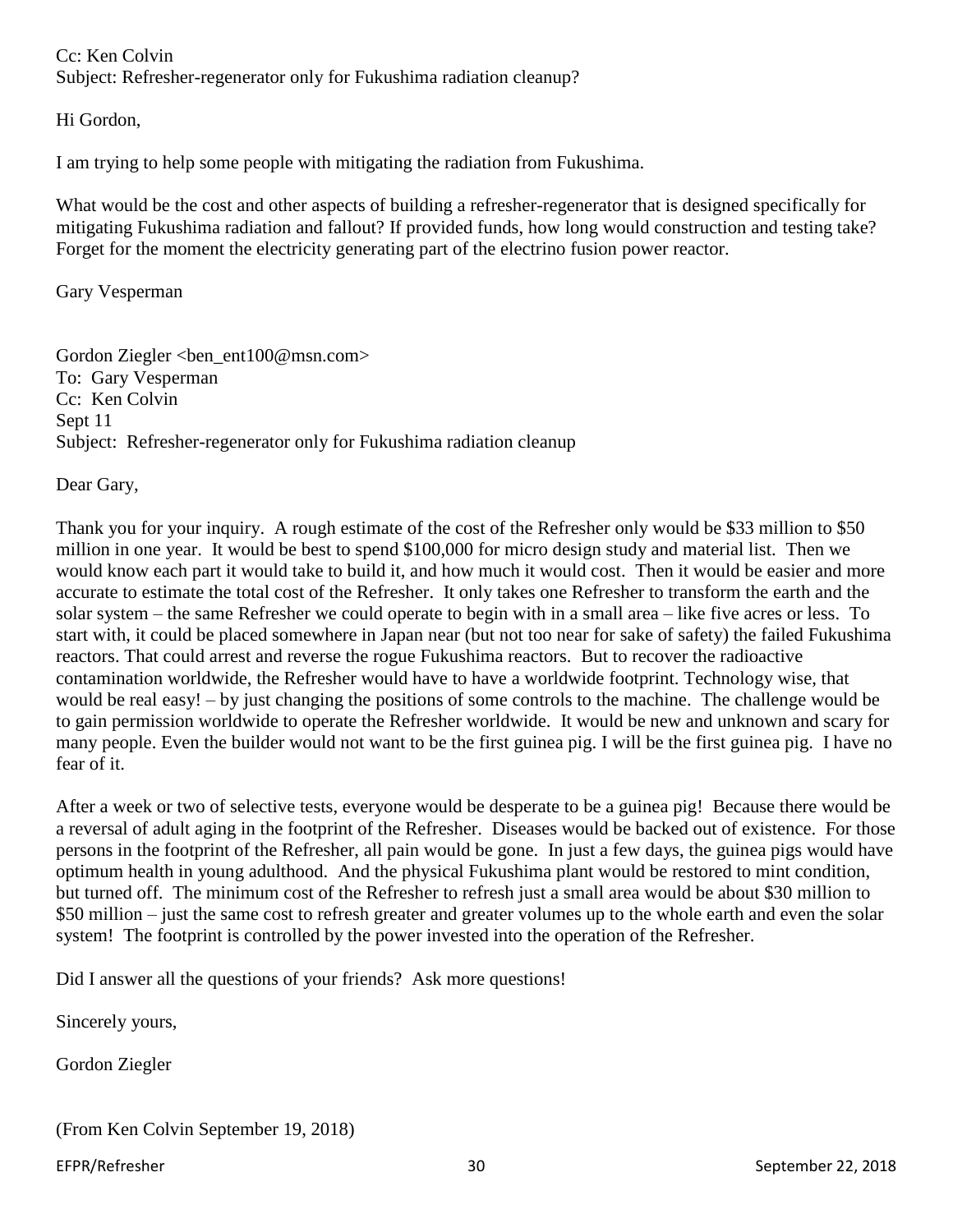Cc: Ken Colvin Subject: Refresher-regenerator only for Fukushima radiation cleanup?

Hi Gordon,

I am trying to help some people with mitigating the radiation from Fukushima.

What would be the cost and other aspects of building a refresher-regenerator that is designed specifically for mitigating Fukushima radiation and fallout? If provided funds, how long would construction and testing take? Forget for the moment the electricity generating part of the electrino fusion power reactor.

Gary Vesperman

Gordon Ziegler <br/>ben ent100@msn.com> To: Gary Vesperman Cc: Ken Colvin Sept 11 Subject: Refresher-regenerator only for Fukushima radiation cleanup

Dear Gary,

Thank you for your inquiry. A rough estimate of the cost of the Refresher only would be \$33 million to \$50 million in one year. It would be best to spend \$100,000 for micro design study and material list. Then we would know each part it would take to build it, and how much it would cost. Then it would be easier and more accurate to estimate the total cost of the Refresher. It only takes one Refresher to transform the earth and the solar system – the same Refresher we could operate to begin with in a small area – like five acres or less. To start with, it could be placed somewhere in Japan near (but not too near for sake of safety) the failed Fukushima reactors. That could arrest and reverse the rogue Fukushima reactors. But to recover the radioactive contamination worldwide, the Refresher would have to have a worldwide footprint. Technology wise, that would be real easy! – by just changing the positions of some controls to the machine. The challenge would be to gain permission worldwide to operate the Refresher worldwide. It would be new and unknown and scary for many people. Even the builder would not want to be the first guinea pig. I will be the first guinea pig. I have no fear of it.

After a week or two of selective tests, everyone would be desperate to be a guinea pig! Because there would be a reversal of adult aging in the footprint of the Refresher. Diseases would be backed out of existence. For those persons in the footprint of the Refresher, all pain would be gone. In just a few days, the guinea pigs would have optimum health in young adulthood. And the physical Fukushima plant would be restored to mint condition, but turned off. The minimum cost of the Refresher to refresh just a small area would be about \$30 million to \$50 million – just the same cost to refresh greater and greater volumes up to the whole earth and even the solar system! The footprint is controlled by the power invested into the operation of the Refresher.

Did I answer all the questions of your friends? Ask more questions!

Sincerely yours,

Gordon Ziegler

(From Ken Colvin September 19, 2018)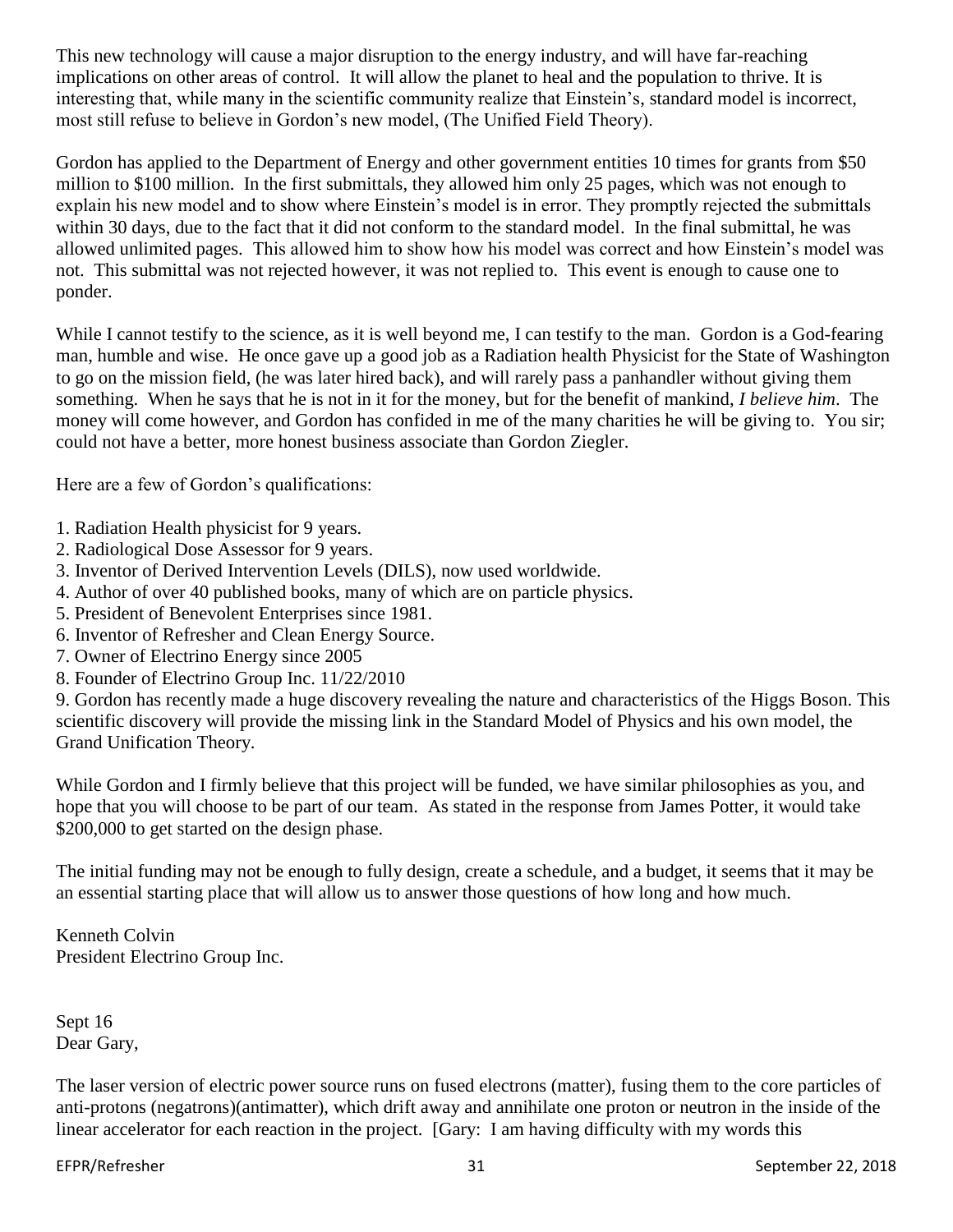This new technology will cause a major disruption to the energy industry, and will have far-reaching implications on other areas of control. It will allow the planet to heal and the population to thrive. It is interesting that, while many in the scientific community realize that Einstein's, standard model is incorrect, most still refuse to believe in Gordon's new model, (The Unified Field Theory).

Gordon has applied to the Department of Energy and other government entities 10 times for grants from \$50 million to \$100 million. In the first submittals, they allowed him only 25 pages, which was not enough to explain his new model and to show where Einstein's model is in error. They promptly rejected the submittals within 30 days, due to the fact that it did not conform to the standard model. In the final submittal, he was allowed unlimited pages. This allowed him to show how his model was correct and how Einstein's model was not. This submittal was not rejected however, it was not replied to. This event is enough to cause one to ponder.

While I cannot testify to the science, as it is well beyond me, I can testify to the man. Gordon is a God-fearing man, humble and wise. He once gave up a good job as a Radiation health Physicist for the State of Washington to go on the mission field, (he was later hired back), and will rarely pass a panhandler without giving them something. When he says that he is not in it for the money, but for the benefit of mankind, *I believe him*. The money will come however, and Gordon has confided in me of the many charities he will be giving to. You sir; could not have a better, more honest business associate than Gordon Ziegler.

Here are a few of Gordon's qualifications:

- 1. Radiation Health physicist for 9 years.
- 2. Radiological Dose Assessor for 9 years.
- 3. Inventor of Derived Intervention Levels (DILS), now used worldwide.
- 4. Author of over 40 published books, many of which are on particle physics.
- 5. President of Benevolent Enterprises since 1981.
- 6. Inventor of Refresher and Clean Energy Source.
- 7. Owner of Electrino Energy since 2005
- 8. Founder of Electrino Group Inc. 11/22/2010

9. Gordon has recently made a huge discovery revealing the nature and characteristics of the Higgs Boson. This scientific discovery will provide the missing link in the Standard Model of Physics and his own model, the Grand Unification Theory.

While Gordon and I firmly believe that this project will be funded, we have similar philosophies as you, and hope that you will choose to be part of our team. As stated in the response from James Potter, it would take \$200,000 to get started on the design phase.

The initial funding may not be enough to fully design, create a schedule, and a budget, it seems that it may be an essential starting place that will allow us to answer those questions of how long and how much.

Kenneth Colvin President Electrino Group Inc.

Sept 16 Dear Gary,

The laser version of electric power source runs on fused electrons (matter), fusing them to the core particles of anti-protons (negatrons)(antimatter), which drift away and annihilate one proton or neutron in the inside of the linear accelerator for each reaction in the project. [Gary: I am having difficulty with my words this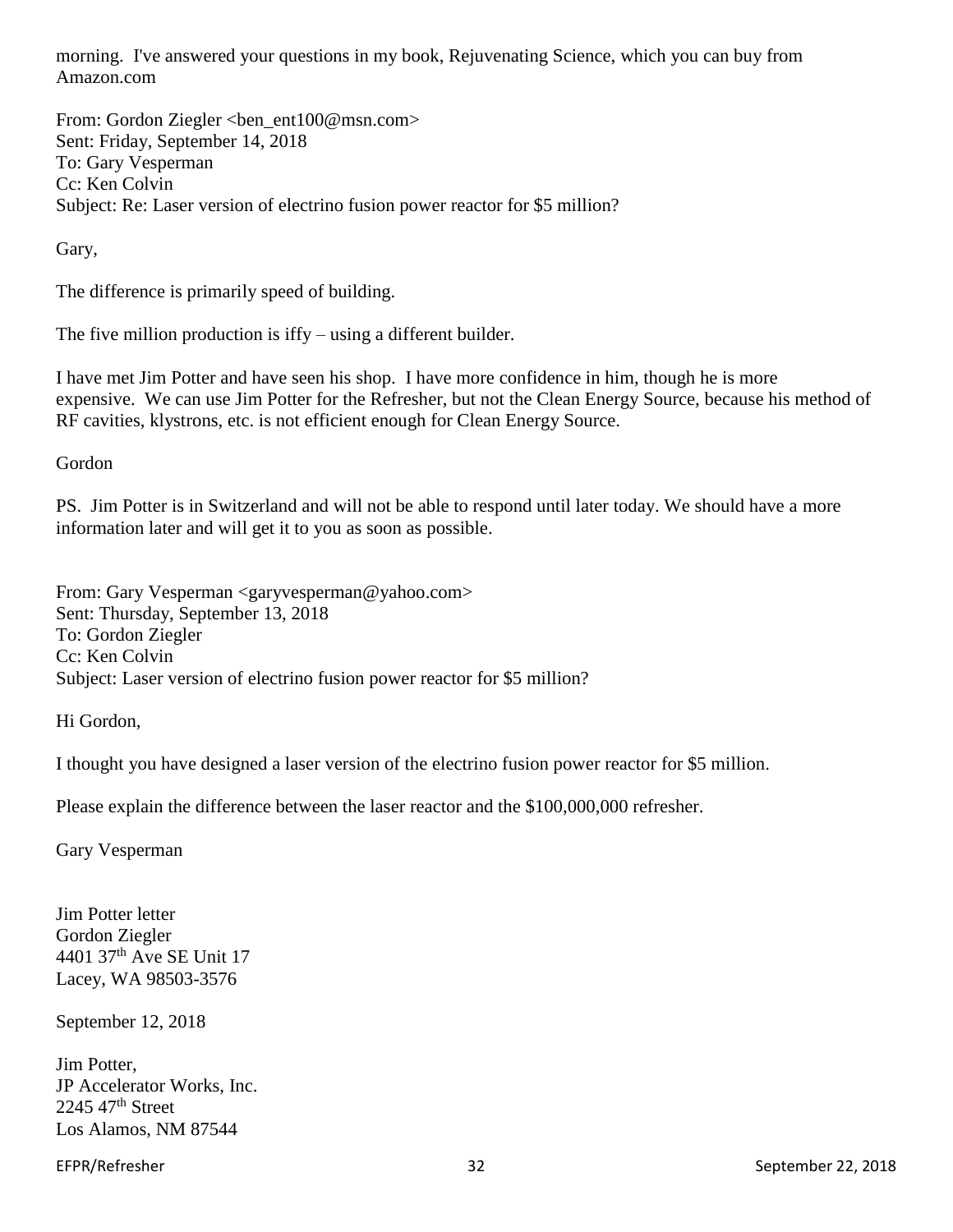morning. I've answered your questions in my book, Rejuvenating Science, which you can buy from Amazon.com

From: Gordon Ziegler <br/> <br/>ben\_ent100@msn.com> Sent: Friday, September 14, 2018 To: Gary Vesperman Cc: Ken Colvin Subject: Re: Laser version of electrino fusion power reactor for \$5 million?

Gary,

The difference is primarily speed of building.

The five million production is iffy – using a different builder.

I have met Jim Potter and have seen his shop. I have more confidence in him, though he is more expensive. We can use Jim Potter for the Refresher, but not the Clean Energy Source, because his method of RF cavities, klystrons, etc. is not efficient enough for Clean Energy Source.

Gordon

PS. Jim Potter is in Switzerland and will not be able to respond until later today. We should have a more information later and will get it to you as soon as possible.

From: Gary Vesperman <garyvesperman@yahoo.com> Sent: Thursday, September 13, 2018 To: Gordon Ziegler Cc: Ken Colvin Subject: Laser version of electrino fusion power reactor for \$5 million?

Hi Gordon,

I thought you have designed a laser version of the electrino fusion power reactor for \$5 million.

Please explain the difference between the laser reactor and the \$100,000,000 refresher.

Gary Vesperman

Jim Potter letter Gordon Ziegler 4401 37th Ave SE Unit 17 Lacey, WA 98503-3576

September 12, 2018

Jim Potter, JP Accelerator Works, Inc.  $2245$  47<sup>th</sup> Street Los Alamos, NM 87544